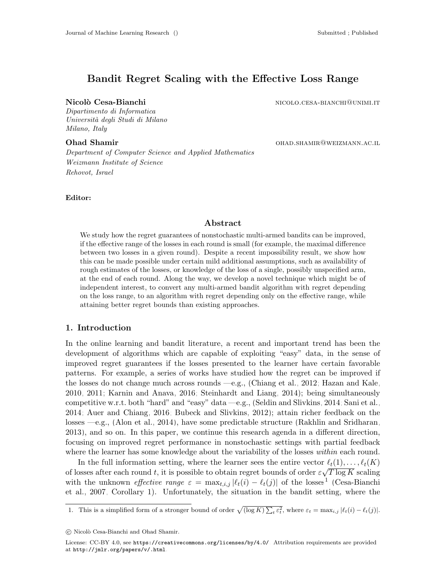# Bandit Regret Scaling with the Effective Loss Range

Dipartimento di Informatica Università degli Studi di Milano Milano, Italy

Department of Computer Science and Applied Mathematics Weizmann Institute of Science Rehovot, Israel

Editor:

Nicolò Cesa-Bianchi nicolo.cesa-bianchi nicolo.cesa-bianchi nicolo.cesa-bianchi@unimi.it

**Ohad Shamir Chamir Chamir OHAD.SHAMIR@WEIZMANN.AC.IL** 

### Abstract

We study how the regret guarantees of nonstochastic multi-armed bandits can be improved, if the effective range of the losses in each round is small (for example, the maximal difference between two losses in a given round). Despite a recent impossibility result, we show how this can be made possible under certain mild additional assumptions, such as availability of rough estimates of the losses, or knowledge of the loss of a single, possibly unspecified arm, at the end of each round. Along the way, we develop a novel technique which might be of independent interest, to convert any multi-armed bandit algorithm with regret depending on the loss range, to an algorithm with regret depending only on the effective range, while attaining better regret bounds than existing approaches.

## 1. Introduction

In the online learning and bandit literature, a recent and important trend has been the development of algorithms which are capable of exploiting "easy" data, in the sense of improved regret guarantees if the losses presented to the learner have certain favorable patterns. For example, a series of works have studied how the regret can be improved if the losses do not change much across rounds —e.g., [\(Chiang et al., 2012;](#page-12-0) [Hazan and Kale,](#page-12-1) [2010,](#page-12-1) [2011;](#page-12-2) [Karnin and Anava, 2016;](#page-13-0) [Steinhardt and Liang, 2014\)](#page-13-1); being simultaneously competitive w.r.t. both "hard" and "easy" data —e.g., [\(Seldin and Slivkins, 2014;](#page-13-2) [Sani et al.,](#page-13-3) [2014;](#page-13-3) [Auer and Chiang, 2016;](#page-12-3) [Bubeck and Slivkins, 2012\)](#page-12-4); attain richer feedback on the losses —e.g., [\(Alon et al., 2014\)](#page-12-5), have some predictable structure [\(Rakhlin and Sridharan,](#page-13-4) [2013\)](#page-13-4), and so on. In this paper, we continue this research agenda in a different direction, focusing on improved regret performance in nonstochastic settings with partial feedback where the learner has some knowledge about the variability of the losses *within* each round.

In the full information setting, where the learner sees the entire vector  $\ell_t(1), \ldots, \ell_t(K)$ of losses after each round t, it is possible to obtain regret bounds of order  $\varepsilon\sqrt{T\log K}$  scaling with the unknown *effective range*  $\varepsilon = \max_{t,i,j} |\ell_t(i) - \ell_t(j)|$  of the losses<sup>[1](#page-0-0)</sup> [\(Cesa-Bianchi](#page-12-6) [et al., 2007,](#page-12-6) Corollary 1). Unfortunately, the situation in the bandit setting, where the

<span id="page-0-0"></span>1. This is a simplified form of a stronger bound of order  $\sqrt{(\log K) \sum_t \varepsilon_t^2}$ , where  $\varepsilon_t = \max_{i,j} |\ell_t(i) - \ell_t(j)|$ .

 $\copyright$ Nicolò Cesa-Bianchi and Ohad Shamir.

License: CC-BY 4.0, see <https://creativecommons.org/licenses/by/4.0/>. Attribution requirements are provided at <http://jmlr.org/papers/v/.html>.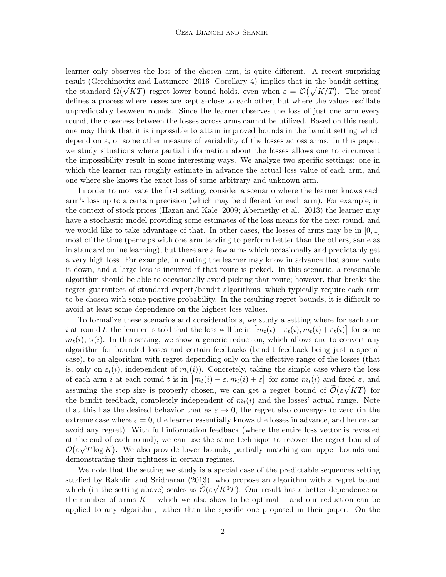learner only observes the loss of the chosen arm, is quite different. A recent surprising result [\(Gerchinovitz and Lattimore, 2016,](#page-12-7) Corollary 4) implies that in the bandit setting, result (Gerchmovitz and Lattimore, 2016, Coronary 4) implies that in the bandit setting,<br>the standard  $\Omega(\sqrt{KT})$  regret lower bound holds, even when  $\varepsilon = \mathcal{O}(\sqrt{K/T})$ . The proof defines a process where losses are kept  $\varepsilon$ -close to each other, but where the values oscillate unpredictably between rounds. Since the learner observes the loss of just one arm every round, the closeness between the losses across arms cannot be utilized. Based on this result, one may think that it is impossible to attain improved bounds in the bandit setting which depend on  $\varepsilon$ , or some other measure of variability of the losses across arms. In this paper, we study situations where partial information about the losses allows one to circumvent the impossibility result in some interesting ways. We analyze two specific settings: one in which the learner can roughly estimate in advance the actual loss value of each arm, and one where she knows the exact loss of some arbitrary and unknown arm.

In order to motivate the first setting, consider a scenario where the learner knows each arm's loss up to a certain precision (which may be different for each arm). For example, in the context of stock prices [\(Hazan and Kale, 2009;](#page-12-8) [Abernethy et al., 2013\)](#page-12-9) the learner may have a stochastic model providing some estimates of the loss means for the next round, and we would like to take advantage of that. In other cases, the losses of arms may be in  $[0,1]$ most of the time (perhaps with one arm tending to perform better than the others, same as in standard online learning), but there are a few arms which occasionally and predictably get a very high loss. For example, in routing the learner may know in advance that some route is down, and a large loss is incurred if that route is picked. In this scenario, a reasonable algorithm should be able to occasionally avoid picking that route; however, that breaks the regret guarantees of standard expert/bandit algorithms, which typically require each arm to be chosen with some positive probability. In the resulting regret bounds, it is difficult to avoid at least some dependence on the highest loss values.

To formalize these scenarios and considerations, we study a setting where for each arm i at round t, the learner is told that the loss will be in  $[m_t(i) - \varepsilon_t(i), m_t(i) + \varepsilon_t(i)]$  for some  $m_t(i), \varepsilon_t(i)$ . In this setting, we show a generic reduction, which allows one to convert any algorithm for bounded losses and certain feedbacks (bandit feedback being just a special case), to an algorithm with regret depending only on the effective range of the losses (that is, only on  $\varepsilon_t(i)$ , independent of  $m_t(i)$ ). Concretely, taking the simple case where the loss of each arm i at each round t is in  $[m_t(i) - \varepsilon, m_t(i) + \varepsilon]$  for some  $m_t(i)$  and fixed  $\varepsilon$ , and assuming the step size is properly chosen, we can get a regret bound of  $\mathcal{O}(\varepsilon\sqrt{KT})$  for the bandit feedback, completely independent of  $m_t(i)$  and the losses' actual range. Note that this has the desired behavior that as  $\varepsilon \to 0$ , the regret also converges to zero (in the extreme case where  $\varepsilon = 0$ , the learner essentially knows the losses in advance, and hence can avoid any regret). With full information feedback (where the entire loss vector is revealed at the end of each round), we can use the same technique to recover the regret bound of  $\mathcal{O}(\varepsilon\sqrt{T\log K})$ . We also provide lower bounds, partially matching our upper bounds and demonstrating their tightness in certain regimes.

We note that the setting we study is a special case of the predictable sequences setting studied by [Rakhlin and Sridharan](#page-13-4)  $(2013)$ , who propose an algorithm with a regret bound which (in the setting above) scales as  $\mathcal{O}(\varepsilon\sqrt{K^3T})$ . Our result has a better dependence on the number of arms  $K$  —which we also show to be optimal— and our reduction can be applied to any algorithm, rather than the specific one proposed in their paper. On the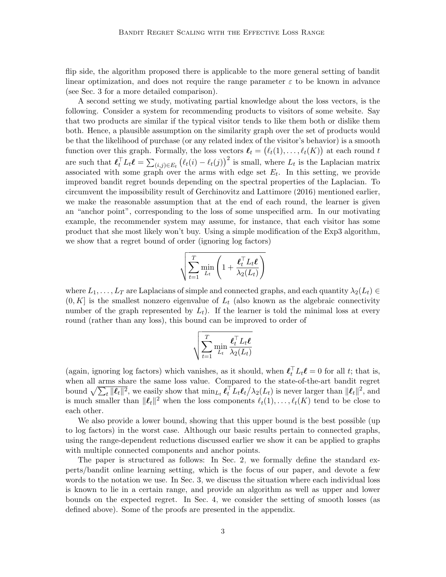flip side, the algorithm proposed there is applicable to the more general setting of bandit linear optimization, and does not require the range parameter  $\varepsilon$  to be known in advance (see Sec. [3](#page-3-0) for a more detailed comparison).

A second setting we study, motivating partial knowledge about the loss vectors, is the following. Consider a system for recommending products to visitors of some website. Say that two products are similar if the typical visitor tends to like them both or dislike them both. Hence, a plausible assumption on the similarity graph over the set of products would be that the likelihood of purchase (or any related index of the visitor's behavior) is a smooth function over this graph. Formally, the loss vectors  $\ell_t = (\ell_t(1), \ldots, \ell_t(K))$  at each round t are such that  $\ell_t^{\top} L_t \ell = \sum_{(i,j) \in E_t} (\ell_t(i) - \ell_t(j))^2$  is small, where  $L_t$  is the Laplacian matrix associated with some graph over the arms with edge set  $E_t$ . In this setting, we provide improved bandit regret bounds depending on the spectral properties of the Laplacian. To circumvent the impossibility result of [Gerchinovitz and Lattimore](#page-12-7) [\(2016\)](#page-12-7) mentioned earlier, we make the reasonable assumption that at the end of each round, the learner is given an "anchor point", corresponding to the loss of some unspecified arm. In our motivating example, the recommender system may assume, for instance, that each visitor has some product that she most likely won't buy. Using a simple modification of the Exp3 algorithm, we show that a regret bound of order (ignoring log factors)

$$
\sqrt{\sum_{t=1}^T \min_{L_t} \left(1 + \frac{\boldsymbol{\ell}_t^\top L_t \boldsymbol{\ell}}{\lambda_2(L_t)}\right)}
$$

where  $L_1, \ldots, L_T$  are Laplacians of simple and connected graphs, and each quantity  $\lambda_2(L_t) \in$  $(0, K]$  is the smallest nonzero eigenvalue of  $L_t$  (also known as the algebraic connectivity number of the graph represented by  $L_t$ ). If the learner is told the minimal loss at every round (rather than any loss), this bound can be improved to order of

$$
\sqrt{\sum_{t=1}^{T} \min_{L_t} \frac{\boldsymbol{\ell}_t^{\top} L_t \boldsymbol{\ell}}{\lambda_2(L_t)}}
$$

(again, ignoring log factors) which vanishes, as it should, when  $\ell_t^{\top} L_t \ell = 0$  for all t; that is, when all arms share the same loss value. Compared to the state-of-the-art bandit regret bound  $\sqrt{\sum_t \|\boldsymbol{\ell}_t\|^2}$ , we easily show that  $\min_{L_t} \boldsymbol{\ell}_t^{\top} L_t \boldsymbol{\ell}_t / \lambda_2(L_t)$  is never larger than  $\|\boldsymbol{\ell}_t\|^2$ , and is much smaller than  $\|\ell_t\|^2$  when the loss components  $\ell_t(1), \ldots, \ell_t(K)$  tend to be close to each other.

We also provide a lower bound, showing that this upper bound is the best possible (up to log factors) in the worst case. Although our basic results pertain to connected graphs, using the range-dependent reductions discussed earlier we show it can be applied to graphs with multiple connected components and anchor points.

The paper is structured as follows: In Sec. [2,](#page-3-1) we formally define the standard experts/bandit online learning setting, which is the focus of our paper, and devote a few words to the notation we use. In Sec. [3,](#page-3-0) we discuss the situation where each individual loss is known to lie in a certain range, and provide an algorithm as well as upper and lower bounds on the expected regret. In Sec. [4,](#page-8-0) we consider the setting of smooth losses (as defined above). Some of the proofs are presented in the appendix.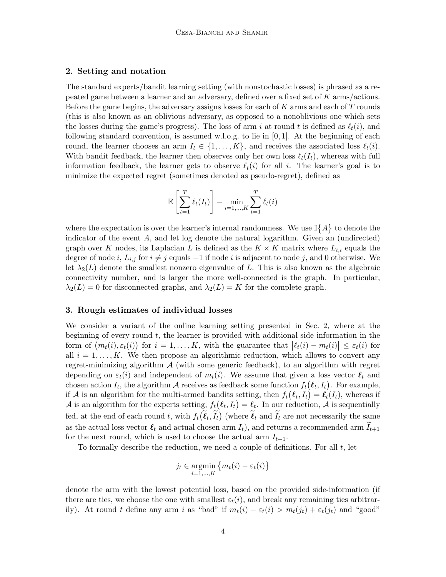# <span id="page-3-1"></span>2. Setting and notation

The standard experts/bandit learning setting (with nonstochastic losses) is phrased as a repeated game between a learner and an adversary, defined over a fixed set of K arms/actions. Before the game begins, the adversary assigns losses for each of  $K$  arms and each of  $T$  rounds (this is also known as an oblivious adversary, as opposed to a nonoblivious one which sets the losses during the game's progress). The loss of arm i at round t is defined as  $\ell_t(i)$ , and following standard convention, is assumed w.l.o.g. to lie in  $[0, 1]$ . At the beginning of each round, the learner chooses an arm  $I_t \in \{1, ..., K\}$ , and receives the associated loss  $\ell_t(i)$ . With bandit feedback, the learner then observes only her own loss  $\ell_t(I_t)$ , whereas with full information feedback, the learner gets to observe  $\ell_t(i)$  for all i. The learner's goal is to minimize the expected regret (sometimes denoted as pseudo-regret), defined as

$$
\mathbb{E}\left[\sum_{t=1}^T \ell_t(I_t)\right] - \min_{i=1,\dots,K} \sum_{t=1}^T \ell_t(i)
$$

where the expectation is over the learner's internal randomness. We use  $\mathbb{I}\{A\}$  to denote the indicator of the event A, and let log denote the natural logarithm. Given an (undirected) graph over K nodes, its Laplacian L is defined as the  $K \times K$  matrix where  $L_{i,i}$  equals the degree of node i,  $L_{i,j}$  for  $i \neq j$  equals  $-1$  if node i is adjacent to node j, and 0 otherwise. We let  $\lambda_2(L)$  denote the smallest nonzero eigenvalue of L. This is also known as the algebraic connectivity number, and is larger the more well-connected is the graph. In particular,  $\lambda_2(L) = 0$  for disconnected graphs, and  $\lambda_2(L) = K$  for the complete graph.

# <span id="page-3-0"></span>3. Rough estimates of individual losses

We consider a variant of the online learning setting presented in Sec. [2,](#page-3-1) where at the beginning of every round  $t$ , the learner is provided with additional side information in the form of  $(m_t(i), \varepsilon_t(i))$  for  $i = 1, ..., K$ , with the guarantee that  $|\ell_t(i) - m_t(i)| \leq \varepsilon_t(i)$  for all  $i = 1, \ldots, K$ . We then propose an algorithmic reduction, which allows to convert any regret-minimizing algorithm  $A$  (with some generic feedback), to an algorithm with regret depending on  $\varepsilon_t(i)$  and independent of  $m_t(i)$ . We assume that given a loss vector  $\ell_t$  and chosen action  $I_t$ , the algorithm A receives as feedback some function  $f_t(\ell_t, I_t)$ . For example, if A is an algorithm for the multi-armed bandits setting, then  $f_t(\ell_t, I_t) = \ell_t(I_t)$ , whereas if A is an algorithm for the experts setting,  $f_t(\ell_t, I_t) = \ell_t$ . In our reduction, A is sequentially fed, at the end of each round t, with  $f_t(\ell_t, \tilde{I}_t)$  (where  $\ell_t$  and  $\tilde{I}_t$  are not necessarily the same as the actual loss vector  $\ell_t$  and actual chosen arm  $I_t$ ), and returns a recommended arm  $I_{t+1}$ for the next round, which is used to choose the actual arm  $I_{t+1}$ .

To formally describe the reduction, we need a couple of definitions. For all t, let

$$
j_t \in \operatorname*{argmin}_{i=1,\ldots,K} \{m_t(i) - \varepsilon_t(i)\}
$$

denote the arm with the lowest potential loss, based on the provided side-information (if there are ties, we choose the one with smallest  $\varepsilon_t(i)$ , and break any remaining ties arbitrarily). At round t define any arm i as "bad" if  $m_t(i) - \varepsilon_t(i) > m_t(j_t) + \varepsilon_t(j_t)$  and "good"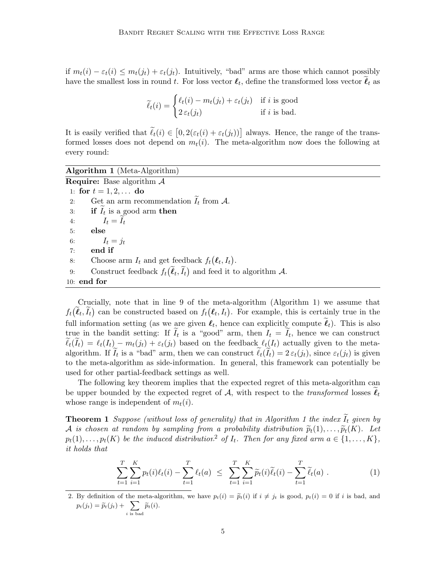if  $m_t(i) - \varepsilon_t(i) \leq m_t(j_t) + \varepsilon_t(j_t)$ . Intuitively, "bad" arms are those which cannot possibly have the smallest loss in round t. For loss vector  $\ell_t$ , define the transformed loss vector  $\ell_t$  as

$$
\widetilde{\ell}_t(i) = \begin{cases} \ell_t(i) - m_t(j_t) + \varepsilon_t(j_t) & \text{if } i \text{ is good} \\ 2 \varepsilon_t(j_t) & \text{if } i \text{ is bad.} \end{cases}
$$

It is easily verified that  $\ell_t(i) \in [0, 2(\varepsilon_t(i) + \varepsilon_t(j_t))]$  always. Hence, the range of the transformed losses does not depend on  $m_t(i)$ . The meta-algorithm now does the following at every round:

Algorithm 1 (Meta-Algorithm)

<span id="page-4-0"></span>**Require:** Base algorithm  $\mathcal A$ 1: for  $t = 1, 2, ...$  do 2: Get an arm recommendation  $I_t$  from A.<br>3: **if**  $\widetilde{I}_t$  is a good arm **then** 3: if  $I_t$  is a good arm then 4:  $I_t = I_t$ <br>5: **else** else 6:  $I_t = j_t$ 7: end if 8: Choose arm  $I_t$  and get feedback  $f_t(\ell_t, I_t)$ . 9: Construct feedback  $f_t(\ell_t, \tilde{I}_t)$  and feed it to algorithm A. 10: end for

Crucially, note that in line [9](#page-4-0) of the meta-algorithm (Algorithm [1\)](#page-4-0) we assume that  $f_t(\ell_t, I_t)$  can be constructed based on  $f_t(\ell_t, I_t)$ . For example, this is certainly true in the full information setting (as we are given  $\ell_t$ , hence can explicitly compute  $\ell_t$ ). This is also true in the bandit setting: If  $I_t$  is a "good" arm, then  $I_t = I_t$ , hence we can construct  $\ell_t(I_t) = \ell_t(I_t) - m_t(j_t) + \varepsilon_t(j_t)$  based on the feedback  $\ell_t(I_t)$  actually given to the metaalgorithm. If  $I_t$  is a "bad" arm, then we can construct  $\ell_t(I_t) = 2 \varepsilon_t(j_t)$ , since  $\varepsilon_t(j_t)$  is given to the meta-algorithm as side-information. In general, this framework can potentially be used for other partial-feedback settings as well.

The following key theorem implies that the expected regret of this meta-algorithm can be upper bounded by the expected regret of A, with respect to the transformed losses  $\ell_t$ whose range is independent of  $m_t(i)$ .

**Theorem [1](#page-4-0)** Suppose (without loss of generality) that in Algorithm 1 the index  $I_t$  given by A is chosen at random by sampling from a probability distribution  $\widetilde{p}_t(1), \ldots, \widetilde{p}_t(K)$ . Let  $p_t(1), \ldots, p_t(K)$  be the induced distribution<sup>[2](#page-4-1)</sup> of  $I_t$ . Then for any fixed arm  $a \in \{1, \ldots, K\}$ , it holds that

<span id="page-4-3"></span><span id="page-4-2"></span>
$$
\sum_{t=1}^{T} \sum_{i=1}^{K} p_t(i) \ell_t(i) - \sum_{t=1}^{T} \ell_t(a) \leq \sum_{t=1}^{T} \sum_{i=1}^{K} \widetilde{p}_t(i) \widetilde{\ell}_t(i) - \sum_{t=1}^{T} \widetilde{\ell}_t(a) . \tag{1}
$$

<span id="page-4-1"></span>2. By definition of the meta-algorithm, we have  $p_t(i) = \tilde{p}_t(i)$  if  $i \neq j_t$  is good,  $p_t(i) = 0$  if i is bad, and  $p_t(j_t) = \widetilde{p}_t(j_t) + \sum_{i \text{ is bad}} \widetilde{p}_t(i).$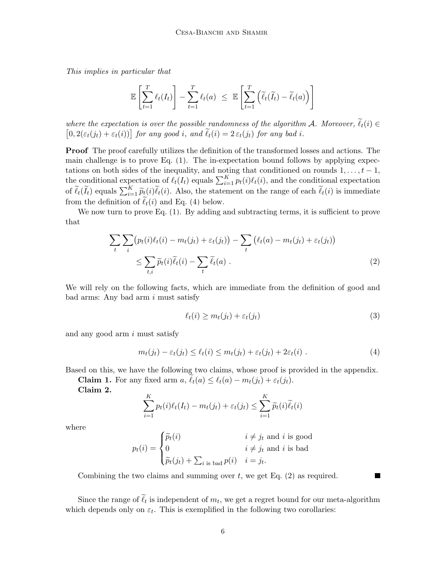This implies in particular that

$$
\mathbb{E}\left[\sum_{t=1}^T \ell_t(I_t)\right] - \sum_{t=1}^T \ell_t(a) \leq \mathbb{E}\left[\sum_{t=1}^T \left(\widetilde{\ell}_t(\widetilde{I}_t) - \widetilde{\ell}_t(a)\right)\right]
$$

where the expectation is over the possible randomness of the algorithm A. Moreover,  $\ell_t(i) \in$  $[0, 2(\varepsilon_t(j_t) + \varepsilon_t(i))]$  for any good i, and  $\ell_t(i) = 2 \varepsilon_t(j_t)$  for any bad i.

Proof The proof carefully utilizes the definition of the transformed losses and actions. The main challenge is to prove Eq. [\(1\)](#page-4-2). The in-expectation bound follows by applying expectations on both sides of the inequality, and noting that conditioned on rounds  $1, \ldots, t-1$ , the conditional expectation of  $\ell_t(I_t)$  equals  $\sum_{i=1}^K p_t(i)\ell_t(i)$ , and the conditional expectation of  $\tilde{\ell}_t(\tilde{I}_t)$  equals  $\sum_{i=1}^K \tilde{p}_t(i)\tilde{\ell}_t(i)$ . Also, the statement on the range of each  $\tilde{\ell}_t(i)$  is immediate from the definition of  $\tilde{\ell}_t(i)$  and Eq. [\(4\)](#page-5-0) below.

We now turn to prove Eq.  $(1)$ . By adding and subtracting terms, it is sufficient to prove that

$$
\sum_{t} \sum_{i} \left( p_t(i) \ell_t(i) - m_t(j_t) + \varepsilon_t(j_t) \right) - \sum_{t} \left( \ell_t(a) - m_t(j_t) + \varepsilon_t(j_t) \right)
$$
\n
$$
\leq \sum_{t,i} \widetilde{p}_t(i) \widetilde{\ell}_t(i) - \sum_{t} \widetilde{\ell}_t(a) . \tag{2}
$$

We will rely on the following facts, which are immediate from the definition of good and  $bad\; arms: Any\; bad\; arm\; i\; must\; satisfy$ 

<span id="page-5-3"></span><span id="page-5-1"></span><span id="page-5-0"></span>
$$
\ell_t(i) \ge m_t(j_t) + \varepsilon_t(j_t) \tag{3}
$$

<span id="page-5-2"></span> $\blacksquare$ 

and any good arm i must satisfy

$$
m_t(j_t) - \varepsilon_t(j_t) \le \ell_t(i) \le m_t(j_t) + \varepsilon_t(j_t) + 2\varepsilon_t(i) \tag{4}
$$

Based on this, we have the following two claims, whose proof is provided in the appendix.

**Claim 1.** For any fixed arm  $a, \ell_t(a) \leq \ell_t(a) - m_t(j_t) + \varepsilon_t(j_t).$ 

Claim 2.

$$
\sum_{i=1}^{K} p_t(i)\ell_t(I_t) - m_t(j_t) + \varepsilon_t(j_t) \le \sum_{i=1}^{K} \widetilde{p}_t(i)\widetilde{\ell}_t(i)
$$

where

$$
p_t(i) = \begin{cases} \widetilde{p}_t(i) & i \neq j_t \text{ and } i \text{ is good} \\ 0 & i \neq j_t \text{ and } i \text{ is bad} \\ \widetilde{p}_t(j_t) + \sum_{i \text{ is bad}} p(i) & i = j_t. \end{cases}
$$

Combining the two claims and summing over  $t$ , we get Eq.  $(2)$  as required.

Since the range of  $\ell_t$  is independent of  $m_t$ , we get a regret bound for our meta-algorithm which depends only on  $\varepsilon_t$ . This is exemplified in the following two corollaries: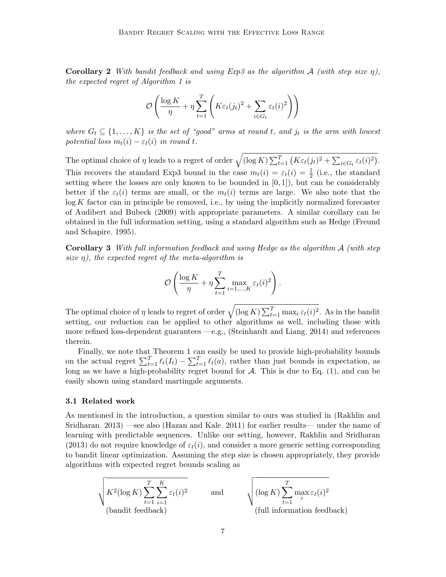**Corollary 2** With bandit feedback and using Exp3 as the algorithm A (with step size  $\eta$ ), the expected regret of Algorithm [1](#page-4-0) is

$$
\mathcal{O}\left(\frac{\log K}{\eta} + \eta \sum_{t=1}^{T} \left( K\varepsilon_t(j_t)^2 + \sum_{i \in G_t} \varepsilon_t(i)^2 \right) \right)
$$

where  $G_t \subseteq \{1,\ldots,K\}$  is the set of "good" arms at round t, and j<sub>t</sub> is the arm with lowest potential loss  $m_t(i) - \varepsilon_t(i)$  in round t.

The optimal choice of  $\eta$  leads to a regret of order  $\sqrt{(\log K) \sum_{t=1}^{T} (K \varepsilon_t(j_t)^2 + \sum_{i \in G_t} \varepsilon_t(i)^2)}$ . This recovers the standard Exp3 bound in the case  $m_t(i) = \varepsilon_t(i) = \frac{1}{2}$  (i.e., the standard setting where the losses are only known to be bounded in  $[0, 1]$ , but can be considerably better if the  $\varepsilon_t(i)$  terms are small, or the  $m_t(i)$  terms are large. We also note that the  $log K$  factor can in principle be removed, i.e., by using the implicitly normalized forecaster of [Audibert and Bubeck](#page-12-10) [\(2009\)](#page-12-10) with appropriate parameters. A similar corollary can be obtained in the full information setting, using a standard algorithm such as Hedge [\(Freund](#page-12-11) [and Schapire, 1995\)](#page-12-11).

**Corollary 3** With full information feedback and using Hedge as the algorithm  $\mathcal{A}$  (with step size  $\eta$ ), the expected regret of the meta-algorithm is

<span id="page-6-0"></span>
$$
\mathcal{O}\left(\frac{\log K}{\eta} + \eta \sum_{t=1}^T \max_{i=1,\dots,K} \varepsilon_t(i)^2\right).
$$

The optimal choice of  $\eta$  leads to regret of order  $\sqrt{(\log K) \sum_{t=1}^{T} \max_i \varepsilon_t(i)^2}$ . As in the bandit setting, our reduction can be applied to other algorithms as well, including those with more refined loss-dependent guarantees —e.g., [\(Steinhardt and Liang, 2014\)](#page-13-1) and references therein.

Finally, we note that Theorem [1](#page-4-3) can easily be used to provide high-probability bounds on the actual regret  $\sum_{t=1}^T \ell_t(I_t) - \sum_{t=1}^T \ell_t(a)$ , rather than just bounds in expectation, as long as we have a high-probability regret bound for  $A$ . This is due to Eq. [\(1\)](#page-4-2), and can be easily shown using standard martingale arguments.

#### 3.1 Related work

As mentioned in the introduction, a question similar to ours was studied in [\(Rakhlin and](#page-13-4) [Sridharan, 2013\)](#page-13-4) —see also [\(Hazan and Kale, 2011\)](#page-12-2) for earlier results— under the name of learning with predictable sequences. Unlike our setting, however, [Rakhlin and Sridharan](#page-13-4) [\(2013\)](#page-13-4) do not require knowledge of  $\varepsilon_t(i)$ , and consider a more generic setting corresponding to bandit linear optimization. Assuming the step size is chosen appropriately, they provide algorithms with expected regret bounds scaling as

$$
\sqrt{\frac{K^2(\log K)\sum_{t=1}^T\sum_{i=1}^K\varepsilon_t(i)^2}{\text{(bandit feedback)}}}} \quad \text{and} \quad \sqrt{\frac{(\log K)\sum_{t=1}^T\max_i\varepsilon_t(i)^2}{(\text{full information feedback})}}
$$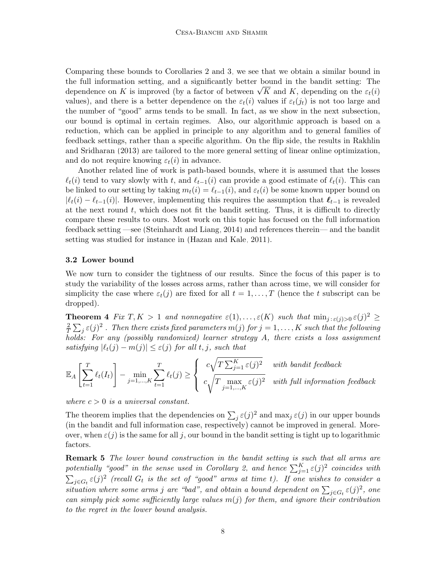Comparing these bounds to Corollaries [2](#page-5-2) and [3,](#page-6-0) we see that we obtain a similar bound in the full information setting, and a significantly better bound in the bandit setting: The the full information setting, and a significantly better bound in the bandit setting: The dependence on K is improved (by a factor of between  $\sqrt{K}$  and K, depending on the  $\varepsilon_t(i)$ values), and there is a better dependence on the  $\varepsilon_t(i)$  values if  $\varepsilon_t(j_t)$  is not too large and the number of "good" arms tends to be small. In fact, as we show in the next subsection, our bound is optimal in certain regimes. Also, our algorithmic approach is based on a reduction, which can be applied in principle to any algorithm and to general families of feedback settings, rather than a specific algorithm. On the flip side, the results in [Rakhlin](#page-13-4) [and Sridharan](#page-13-4) [\(2013\)](#page-13-4) are tailored to the more general setting of linear online optimization, and do not require knowing  $\varepsilon_t(i)$  in advance.

Another related line of work is path-based bounds, where it is assumed that the losses  $\ell_t(i)$  tend to vary slowly with t, and  $\ell_{t-1}(i)$  can provide a good estimate of  $\ell_t(i)$ . This can be linked to our setting by taking  $m_t(i) = \ell_{t-1}(i)$ , and  $\varepsilon_t(i)$  be some known upper bound on  $|\ell_t(i) - \ell_{t-1}(i)|$ . However, implementing this requires the assumption that  $\ell_{t-1}$  is revealed at the next round  $t$ , which does not fit the bandit setting. Thus, it is difficult to directly compare these results to ours. Most work on this topic has focused on the full information feedback setting —see [\(Steinhardt and Liang, 2014\)](#page-13-1) and references therein— and the bandit setting was studied for instance in [\(Hazan and Kale, 2011\)](#page-12-2).

## 3.2 Lower bound

We now turn to consider the tightness of our results. Since the focus of this paper is to study the variability of the losses across arms, rather than across time, we will consider for simplicity the case where  $\varepsilon_t(j)$  are fixed for all  $t = 1, \ldots, T$  (hence the t subscript can be dropped).

<span id="page-7-0"></span>**Theorem 4** Fix  $T, K > 1$  and nonnegative  $\varepsilon(1), \ldots, \varepsilon(K)$  such that  $\min_{j:\,\varepsilon(j)>0} \varepsilon(j)^2 \geq$ 2  $\frac{2}{T}\sum_j \varepsilon(j)^2$  . Then there exists fixed parameters  $m(j)$  for  $j=1,\ldots,K$  such that the following holds: For any (possibly randomized) learner strategy A, there exists a loss assignment satisfying  $|\ell_t(j) - m(j)| \leq \varepsilon(j)$  for all t, j, such that

$$
\mathbb{E}_A\left[\sum_{t=1}^T \ell_t(I_t)\right] - \min_{j=1,\dots,K} \sum_{t=1}^T \ell_t(j) \ge \begin{cases} c\sqrt{T\sum_{j=1}^K \varepsilon(j)^2} & \text{with bandit feedback} \\ c\sqrt{T\max_{j=1,\dots,K} \varepsilon(j)^2} & \text{with full information feedback} \end{cases}
$$

where  $c > 0$  is a universal constant.

The theorem implies that the dependencies on  $\sum_j \varepsilon(j)^2$  and  $\max_j \varepsilon(j)$  in our upper bounds (in the bandit and full information case, respectively) cannot be improved in general. Moreover, when  $\varepsilon(j)$  is the same for all j, our bound in the bandit setting is tight up to logarithmic factors.

**Remark 5** The lower bound construction in the bandit setting is such that all arms are potentially "good" in the sense used in Corollary [2,](#page-5-2) and hence  $\sum_{j=1}^K \varepsilon(j)^2$  coincides with  $\sum_{j\in G_t} \varepsilon(j)^2$  (recall  $G_t$  is the set of "good" arms at time t). If one wishes to consider a situation where some arms j are "bad", and obtain a bound dependent on  $\sum_{j\in G_t} \varepsilon(j)^2$ , one can simply pick some sufficiently large values  $m(j)$  for them, and ignore their contribution to the regret in the lower bound analysis.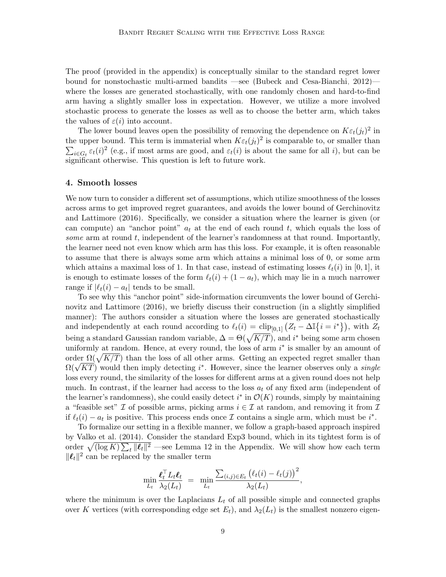The proof (provided in the appendix) is conceptually similar to the standard regret lower bound for nonstochastic multi-armed bandits —see [\(Bubeck and Cesa-Bianchi, 2012\)](#page-12-12) where the losses are generated stochastically, with one randomly chosen and hard-to-find arm having a slightly smaller loss in expectation. However, we utilize a more involved stochastic process to generate the losses as well as to choose the better arm, which takes the values of  $\varepsilon(i)$  into account.

The lower bound leaves open the possibility of removing the dependence on  $K\varepsilon_t(j_t)^2$  in the upper bound. This term is immaterial when  $K\varepsilon_t(j_t)^2$  is comparable to, or smaller than  $\sum_{i\in G_t} \varepsilon_t(i)^2$  (e.g., if most arms are good, and  $\varepsilon_t(i)$  is about the same for all i), but can be significant otherwise. This question is left to future work.

## <span id="page-8-0"></span>4. Smooth losses

We now turn to consider a different set of assumptions, which utilize smoothness of the losses across arms to get improved regret guarantees, and avoids the lower bound of [Gerchinovitz](#page-12-7) [and Lattimore](#page-12-7) [\(2016\)](#page-12-7). Specifically, we consider a situation where the learner is given (or can compute) an "anchor point"  $a_t$  at the end of each round t, which equals the loss of some arm at round  $t$ , independent of the learner's randomness at that round. Importantly, the learner need not even know which arm has this loss. For example, it is often reasonable to assume that there is always some arm which attains a minimal loss of 0, or some arm which attains a maximal loss of 1. In that case, instead of estimating losses  $\ell_t(i)$  in [0, 1], it is enough to estimate losses of the form  $\ell_t(i) + (1 - a_t)$ , which may lie in a much narrower range if  $|\ell_t(i) - a_t|$  tends to be small.

To see why this "anchor point" side-information circumvents the lower bound of [Gerchi](#page-12-7)[novitz and Lattimore](#page-12-7) [\(2016\)](#page-12-7), we briefly discuss their construction (in a slightly simplified manner): The authors consider a situation where the losses are generated stochastically and independently at each round according to  $\ell_t(i) = \text{clip}_{[0,1]} (Z_t - \Delta \mathbb{I}{i = i^*}),$  with  $Z_t$ being a standard Gaussian random variable,  $\Delta = \Theta(\sqrt{K/T})$ , and i<sup>\*</sup> being some arm chosen uniformly at random. Hence, at every round, the loss of arm  $i^*$  is smaller by an amount of order  $\Omega(\sqrt{K/T})$  than the loss of all other arms. Getting an expected regret smaller than order  $\Omega(\sqrt{KT})$  would then imply detecting i<sup>\*</sup>. However, since the learner observes only a *single*  $\Omega(\sqrt{KT})$  would then imply detecting i<sup>\*</sup>. However, since the learner observes only a *single* loss every round, the similarity of the losses for different arms at a given round does not help much. In contrast, if the learner had access to the loss  $a_t$  of any fixed arm (independent of the learner's randomness), she could easily detect  $i^*$  in  $\mathcal{O}(K)$  rounds, simply by maintaining a "feasible set" I of possible arms, picking arms  $i \in \mathcal{I}$  at random, and removing it from I if  $\ell_t(i) - a_t$  is positive. This process ends once  $\mathcal I$  contains a single arm, which must be  $i^*$ .

To formalize our setting in a flexible manner, we follow a graph-based approach inspired by [Valko et al.](#page-13-5) [\(2014\)](#page-13-5). Consider the standard Exp3 bound, which in its tightest form is of order  $\sqrt{(\log K) \sum_t ||\ell_t||^2}$  —see Lemma [12](#page-18-0) in the Appendix. We will show how each term  $\|\boldsymbol{\ell}_t\|^2$  can be replaced by the smaller term

$$
\min_{L_t} \frac{\boldsymbol{\ell}_t^{\top} L_t \boldsymbol{\ell}_t}{\lambda_2(L_t)} = \min_{L_t} \frac{\sum_{(i,j) \in E_t} (\ell_t(i) - \ell_t(j))^2}{\lambda_2(L_t)},
$$

where the minimum is over the Laplacians  $L_t$  of all possible simple and connected graphs over K vertices (with corresponding edge set  $E_t$ ), and  $\lambda_2(L_t)$  is the smallest nonzero eigen-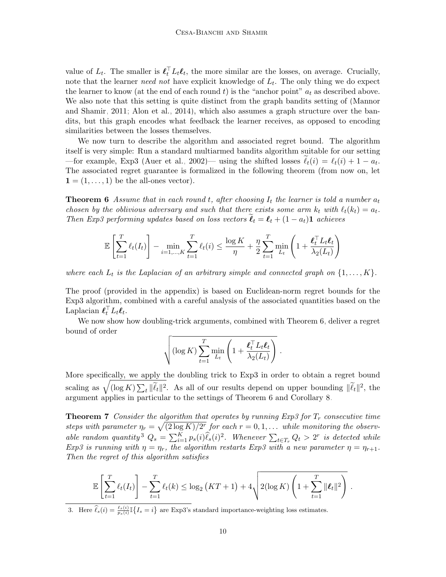value of  $L_t$ . The smaller is  $\ell_t^{\top} L_t \ell_t$ , the more similar are the losses, on average. Crucially, note that the learner *need not* have explicit knowledge of  $L_t$ . The only thing we do expect the learner to know (at the end of each round t) is the "anchor point"  $a_t$  as described above. We also note that this setting is quite distinct from the graph bandits setting of [\(Mannor](#page-13-6) [and Shamir, 2011;](#page-13-6) [Alon et al., 2014\)](#page-12-5), which also assumes a graph structure over the bandits, but this graph encodes what feedback the learner receives, as opposed to encoding similarities between the losses themselves.

We now turn to describe the algorithm and associated regret bound. The algorithm itself is very simple: Run a standard multiarmed bandits algorithm suitable for our setting —for example, Exp3 [\(Auer et al., 2002\)](#page-12-13)— using the shifted losses  $\ell_t(i) = \ell_t(i) + 1 - a_t$ . The associated regret guarantee is formalized in the following theorem (from now on, let  $\mathbf{1} = (1, \ldots, 1)$  be the all-ones vector).

**Theorem 6** Assume that in each round t, after choosing  $I_t$  the learner is told a number  $a_t$ chosen by the oblivious adversary and such that there exists some arm  $k_t$  with  $\ell_t(k_t) = a_t$ . Then Exp3 performing updates based on loss vectors  $\ell_t = \ell_t + (1 - a_t)\mathbf{1}$  achieves

<span id="page-9-0"></span>
$$
\mathbb{E}\left[\sum_{t=1}^T \ell_t(I_t)\right] - \min_{i=1,\dots,K} \sum_{t=1}^T \ell_t(i) \le \frac{\log K}{\eta} + \frac{\eta}{2} \sum_{t=1}^T \min_{L_t} \left(1 + \frac{\ell_t^{\top} L_t \ell_t}{\lambda_2(L_t)}\right)
$$

where each  $L_t$  is the Laplacian of an arbitrary simple and connected graph on  $\{1, \ldots, K\}$ .

The proof (provided in the appendix) is based on Euclidean-norm regret bounds for the Exp3 algorithm, combined with a careful analysis of the associated quantities based on the Laplacian  $\boldsymbol{\ell}_t^{\top} L_t \boldsymbol{\ell}_t$ .

We now show how doubling-trick arguments, combined with Theorem [6,](#page-9-0) deliver a regret bound of order

<span id="page-9-2"></span>
$$
\sqrt{(\log K) \sum_{t=1}^T \min_{L_t} \left(1 + \frac{\boldsymbol{\ell}_t^{\top} L_t \boldsymbol{\ell}_t}{\lambda_2(L_t)}\right)}.
$$

More specifically, we apply the doubling trick to Exp3 in order to obtain a regret bound scaling as  $\sqrt{(\log K) \sum_t ||\tilde{\ell}_t||^2}$ . As all of our results depend on upper bounding  $||\tilde{\ell}_t||^2$ , the argument applies in particular to the settings of Theorem [6](#page-9-0) and Corollary [8.](#page-10-0)

**Theorem 7** Consider the algorithm that operates by running Exp3 for  $T_r$  consecutive time steps with parameter  $\eta_r = \sqrt{(2 \log K)/2^r}$  for each  $r = 0, 1, \ldots$  while monitoring the observ-able random quantity<sup>[3](#page-9-1)</sup>  $Q_s = \sum_{i=1}^K p_s(i) \hat{\ell}_s(i)^2$ . Whenever  $\sum_{t \in T_r} Q_t > 2^r$  is detected while Exp3 is running with  $\eta = \eta_r$ , the algorithm restarts Exp3 with a new parameter  $\eta = \eta_{r+1}$ . Then the regret of this algorithm satisfies

$$
\mathbb{E}\left[\sum_{t=1}^T \ell_t(I_t)\right] - \sum_{t=1}^T \ell_t(k) \leq \log_2\left(KT+1\right) + 4\sqrt{2(\log K)\left(1+\sum_{t=1}^T \|\boldsymbol{\ell}_t\|^2\right)}.
$$

<span id="page-9-1"></span>3. Here  $\hat{\ell}_s(i) = \frac{\ell_s(i)}{p_s(i)} \mathbb{I} \{I_s = i\}$  are Exp3's standard importance-weighting loss estimates.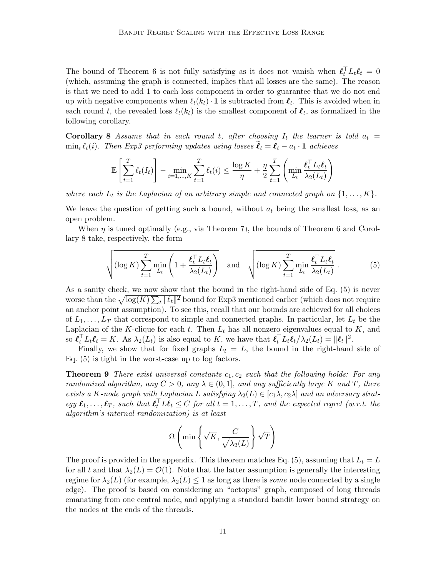The bound of Theorem [6](#page-9-0) is not fully satisfying as it does not vanish when  $\ell_t^{\top} L_t \ell_t = 0$ (which, assuming the graph is connected, implies that all losses are the same). The reason is that we need to add 1 to each loss component in order to guarantee that we do not end up with negative components when  $\ell_t(k_t) \cdot \mathbf{1}$  is subtracted from  $\ell_t$ . This is avoided when in each round t, the revealed loss  $\ell_t(k_t)$  is the smallest component of  $\ell_t$ , as formalized in the following corollary.

**Corollary 8** Assume that in each round t, after choosing  $I_t$  the learner is told  $a_t =$  $\min_i \ell_t(i)$ . Then Exp3 performing updates using losses  $\ell_t = \ell_t - a_t \cdot \mathbf{1}$  achieves

<span id="page-10-0"></span>
$$
\mathbb{E}\left[\sum_{t=1}^T \ell_t(I_t)\right] - \min_{i=1,\dots,K} \sum_{t=1}^T \ell_t(i) \le \frac{\log K}{\eta} + \frac{\eta}{2} \sum_{t=1}^T \left(\min_{L_t} \frac{\ell_t^{\top} L_t \ell_t}{\lambda_2(L_t)}\right)
$$

where each  $L_t$  is the Laplacian of an arbitrary simple and connected graph on  $\{1, \ldots, K\}$ .

We leave the question of getting such a bound, without  $a_t$  being the smallest loss, as an open problem.

When  $\eta$  is tuned optimally (e.g., via Theorem [7\)](#page-9-2), the bounds of Theorem [6](#page-9-0) and Corollary [8](#page-10-0) take, respectively, the form

<span id="page-10-1"></span>
$$
\sqrt{(\log K) \sum_{t=1}^{T} \min_{L_t} \left(1 + \frac{\boldsymbol{\ell}_t^{\top} L_t \boldsymbol{\ell}_t}{\lambda_2(L_t)}\right)} \quad \text{and} \quad \sqrt{(\log K) \sum_{t=1}^{T} \min_{L_t} \frac{\boldsymbol{\ell}_t^{\top} L_t \boldsymbol{\ell}_t}{\lambda_2(L_t)}}.
$$
 (5)

As a sanity check, we now show that the bound in the right-hand side of Eq. [\(5\)](#page-10-1) is never worse than the  $\sqrt{\log(K) \sum_t \|\ell_t\|^2}$  bound for Exp3 mentioned earlier (which does not require an anchor point assumption). To see this, recall that our bounds are achieved for all choices of  $L_1, \ldots, L_T$  that correspond to simple and connected graphs. In particular, let  $L_t$  be the Laplacian of the K-clique for each  $t$ . Then  $L_t$  has all nonzero eigenvalues equal to  $K$ , and so  $\boldsymbol{\ell}_t^{\top} L_t \boldsymbol{\ell}_t = K$ . As  $\lambda_2(L_t)$  is also equal to K, we have that  $\boldsymbol{\ell}_t^{\top} L_t \boldsymbol{\ell}_t / \lambda_2(L_t) = \|\boldsymbol{\ell}_t\|^2$ .

Finally, we show that for fixed graphs  $L_t = L$ , the bound in the right-hand side of Eq. [\(5\)](#page-10-1) is tight in the worst-case up to log factors.

**Theorem 9** There exist universal constants  $c_1, c_2$  such that the following holds: For any randomized algorithm, any  $C > 0$ , any  $\lambda \in (0, 1]$ , and any sufficiently large K and T, there exists a K-node graph with Laplacian L satisfying  $\lambda_2(L) \in [c_1 \lambda, c_2 \lambda]$  and an adversary strategy  $\ell_1, \ldots, \ell_T$ , such that  $\ell_t^{\top} L \ell_t \leq C$  for all  $t = 1, \ldots, T$ , and the expected regret (w.r.t. the algorithm's internal randomization) is at least

<span id="page-10-2"></span>
$$
\Omega\left(\min\left\{\sqrt{K}, \frac{C}{\sqrt{\lambda_2(L)}}\right\}\sqrt{T}\right)
$$

The proof is provided in the appendix. This theorem matches Eq. [\(5\)](#page-10-1), assuming that  $L_t = L$ for all t and that  $\lambda_2(L) = \mathcal{O}(1)$ . Note that the latter assumption is generally the interesting regime for  $\lambda_2(L)$  (for example,  $\lambda_2(L) \leq 1$  as long as there is *some* node connected by a single edge). The proof is based on considering an "octopus" graph, composed of long threads emanating from one central node, and applying a standard bandit lower bound strategy on the nodes at the ends of the threads.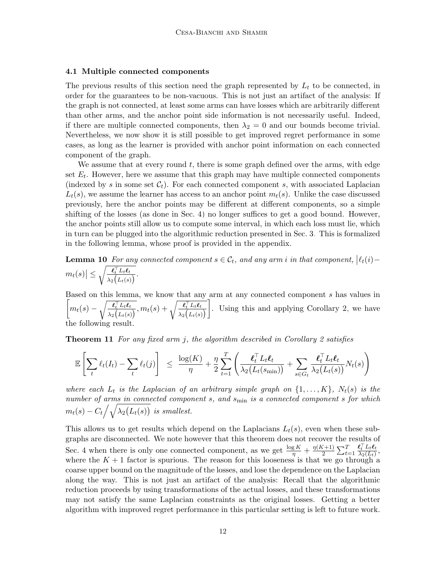### 4.1 Multiple connected components

The previous results of this section need the graph represented by  $L_t$  to be connected, in order for the guarantees to be non-vacuous. This is not just an artifact of the analysis: If the graph is not connected, at least some arms can have losses which are arbitrarily different than other arms, and the anchor point side information is not necessarily useful. Indeed, if there are multiple connected components, then  $\lambda_2 = 0$  and our bounds become trivial. Nevertheless, we now show it is still possible to get improved regret performance in some cases, as long as the learner is provided with anchor point information on each connected component of the graph.

We assume that at every round  $t$ , there is some graph defined over the arms, with edge set  $E_t$ . However, here we assume that this graph may have multiple connected components (indexed by s in some set  $C_t$ ). For each connected component s, with associated Laplacian  $L_t(s)$ , we assume the learner has access to an anchor point  $m_t(s)$ . Unlike the case discussed previously, here the anchor points may be different at different components, so a simple shifting of the losses (as done in Sec. [4\)](#page-8-0) no longer suffices to get a good bound. However, the anchor points still allow us to compute some interval, in which each loss must lie, which in turn can be plugged into the algorithmic reduction presented in Sec. [3.](#page-3-0) This is formalized in the following lemma, whose proof is provided in the appendix.

<span id="page-11-0"></span>**Lemma 10** For any connected component  $s \in C_t$ , and any arm i in that component,  $\lvert \ell_t(i) - \ell_t(i) \rvert$  $\left| m_t(s) \right| \leq \sqrt{\frac{\boldsymbol{\ell}_t^\top L_t \boldsymbol{\ell}_t}{\lambda_2 \left( L_t(s) \right)}}$  $\frac{\boldsymbol{\mathcal{L}}_t \; L_t \boldsymbol{\mathcal{L}}_t}{\lambda_2 \big(L_t(s)\big)}.$ 

Based on this lemma, we know that any arm at any connected component s has values in  $\left[ m_t(s) - \sqrt{\frac{\boldsymbol{\ell}_t^\top \boldsymbol{L}_t \boldsymbol{\ell}_t}{\lambda \sqrt{\boldsymbol{\ell}_t(s)}}} \right]$  $\frac{\boldsymbol{\ell}_t^\top L_t \boldsymbol{\ell}_t}{\lambda_2\big(L_t(s)\big)}, m_t(s) + \sqrt{\frac{\boldsymbol{\ell}_t^\top L_t \boldsymbol{\ell}_t}{\lambda_2\big(L_t(s)\big)}}$  $\lambda_2\big(L_t(s)\big)$  . Using this and applying Corollary [2,](#page-5-2) we have the following result.

**Theorem 11** For any fixed arm j, the algorithm described in Corollary [2](#page-5-2) satisfies

$$
\mathbb{E}\left[\sum_t \ell_t(I_t) - \sum_t \ell_t(j)\right] \leq \frac{\log(K)}{\eta} + \frac{\eta}{2} \sum_{t=1}^T \left(\frac{\boldsymbol{\ell}_t^{\top} L_t \boldsymbol{\ell}_t}{\lambda_2(L_t(s_{\min}))} + \sum_{s \in G_t} \frac{\boldsymbol{\ell}_t^{\top} L_t \boldsymbol{\ell}_t}{\lambda_2(L_t(s))} N_t(s)\right)
$$

where each  $L_t$  is the Laplacian of an arbitrary simple graph on  $\{1,\ldots,K\}$ ,  $N_t(s)$  is the number of arms in connected component  $s$ , and  $s_{\min}$  is a connected component  $s$  for which  $m_t(s) - C_t \left/ \sqrt{\lambda_2(L_t(s))} \right.$  is smallest.

This allows us to get results which depend on the Laplacians  $L_t(s)$ , even when these subgraphs are disconnected. We note however that this theorem does not recover the results of Sec. [4](#page-8-0) when there is only one connected component, as we get  $\frac{\log K}{\eta} + \frac{\eta(K+1)}{2}$  $\frac{(t+1)}{2} \sum_{t=1}^T$  $\boldsymbol{\ell}_t^\top L_t \boldsymbol{\ell}_t$  $\frac{\boldsymbol{\ell}_t \; L_t \boldsymbol{\ell}_t}{\lambda_2(L_t)},$ where the  $K + 1$  factor is spurious. The reason for this looseness is that we go through a coarse upper bound on the magnitude of the losses, and lose the dependence on the Laplacian along the way. This is not just an artifact of the analysis: Recall that the algorithmic reduction proceeds by using transformations of the actual losses, and these transformations may not satisfy the same Laplacian constraints as the original losses. Getting a better algorithm with improved regret performance in this particular setting is left to future work.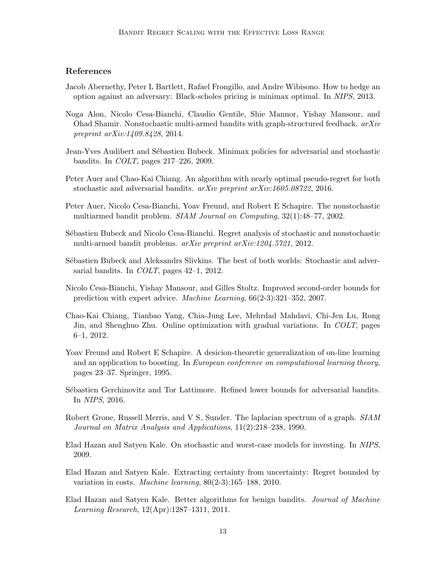# References

- <span id="page-12-9"></span>Jacob Abernethy, Peter L Bartlett, Rafael Frongillo, and Andre Wibisono. How to hedge an option against an adversary: Black-scholes pricing is minimax optimal. In NIPS, 2013.
- <span id="page-12-5"></span>Noga Alon, Nicolo Cesa-Bianchi, Claudio Gentile, Shie Mannor, Yishay Mansour, and Ohad Shamir. Nonstochastic multi-armed bandits with graph-structured feedback. arXiv preprint arXiv:1409.8428, 2014.
- <span id="page-12-10"></span>Jean-Yves Audibert and Sébastien Bubeck. Minimax policies for adversarial and stochastic bandits. In COLT, pages 217–226, 2009.
- <span id="page-12-3"></span>Peter Auer and Chao-Kai Chiang. An algorithm with nearly optimal pseudo-regret for both stochastic and adversarial bandits. arXiv preprint arXiv:1605.08722, 2016.
- <span id="page-12-13"></span>Peter Auer, Nicolo Cesa-Bianchi, Yoav Freund, and Robert E Schapire. The nonstochastic multiarmed bandit problem. SIAM Journal on Computing, 32(1):48–77, 2002.
- <span id="page-12-12"></span>S´ebastien Bubeck and Nicolo Cesa-Bianchi. Regret analysis of stochastic and nonstochastic multi-armed bandit problems. arXiv preprint arXiv:1204.5721, 2012.
- <span id="page-12-4"></span>Sébastien Bubeck and Aleksandrs Slivkins. The best of both worlds: Stochastic and adversarial bandits. In *COLT*, pages 42-1, 2012.
- <span id="page-12-6"></span>Nicolo Cesa-Bianchi, Yishay Mansour, and Gilles Stoltz. Improved second-order bounds for prediction with expert advice. Machine Learning, 66(2-3):321–352, 2007.
- <span id="page-12-0"></span>Chao-Kai Chiang, Tianbao Yang, Chia-Jung Lee, Mehrdad Mahdavi, Chi-Jen Lu, Rong Jin, and Shenghuo Zhu. Online optimization with gradual variations. In COLT, pages 6–1, 2012.
- <span id="page-12-11"></span>Yoav Freund and Robert E Schapire. A desicion-theoretic generalization of on-line learning and an application to boosting. In European conference on computational learning theory, pages 23–37. Springer, 1995.
- <span id="page-12-7"></span>Sébastien Gerchinovitz and Tor Lattimore. Refined lower bounds for adversarial bandits. In NIPS, 2016.
- <span id="page-12-14"></span>Robert Grone, Russell Merris, and V S<sub>-</sub> Sunder. The laplacian spectrum of a graph. SIAM Journal on Matrix Analysis and Applications, 11(2):218–238, 1990.
- <span id="page-12-8"></span>Elad Hazan and Satyen Kale. On stochastic and worst-case models for investing. In NIPS, 2009.
- <span id="page-12-1"></span>Elad Hazan and Satyen Kale. Extracting certainty from uncertainty: Regret bounded by variation in costs. Machine learning, 80(2-3):165–188, 2010.
- <span id="page-12-2"></span>Elad Hazan and Satyen Kale. Better algorithms for benign bandits. Journal of Machine Learning Research, 12(Apr):1287–1311, 2011.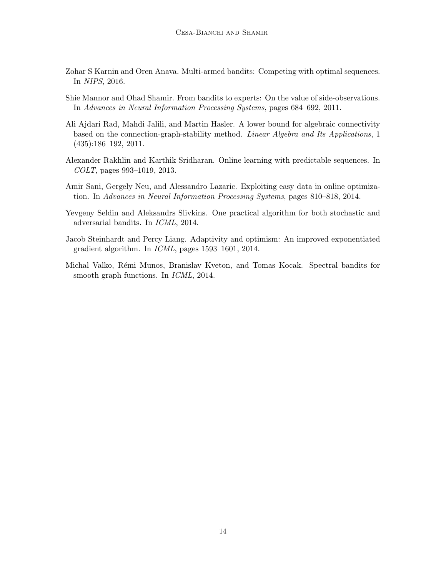- <span id="page-13-0"></span>Zohar S Karnin and Oren Anava. Multi-armed bandits: Competing with optimal sequences. In NIPS, 2016.
- <span id="page-13-6"></span>Shie Mannor and Ohad Shamir. From bandits to experts: On the value of side-observations. In Advances in Neural Information Processing Systems, pages 684–692, 2011.
- <span id="page-13-7"></span>Ali Ajdari Rad, Mahdi Jalili, and Martin Hasler. A lower bound for algebraic connectivity based on the connection-graph-stability method. Linear Algebra and Its Applications, 1 (435):186–192, 2011.
- <span id="page-13-4"></span>Alexander Rakhlin and Karthik Sridharan. Online learning with predictable sequences. In COLT, pages 993–1019, 2013.
- <span id="page-13-3"></span>Amir Sani, Gergely Neu, and Alessandro Lazaric. Exploiting easy data in online optimization. In Advances in Neural Information Processing Systems, pages 810–818, 2014.
- <span id="page-13-2"></span>Yevgeny Seldin and Aleksandrs Slivkins. One practical algorithm for both stochastic and adversarial bandits. In ICML, 2014.
- <span id="page-13-1"></span>Jacob Steinhardt and Percy Liang. Adaptivity and optimism: An improved exponentiated gradient algorithm. In ICML, pages 1593–1601, 2014.
- <span id="page-13-5"></span>Michal Valko, Rémi Munos, Branislav Kveton, and Tomas Kocak. Spectral bandits for smooth graph functions. In *ICML*, 2014.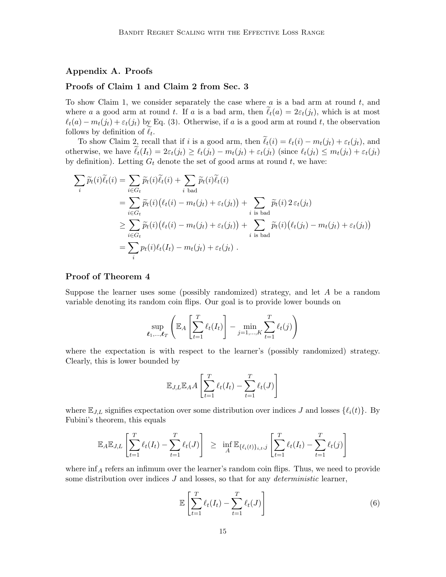# Appendix A. Proofs

## Proofs of Claim 1 and Claim 2 from Sec. [3](#page-3-0)

To show Claim 1, we consider separately the case where  $a$  is a bad arm at round  $t$ , and where a a good arm at round t. If a is a bad arm, then  $\ell_t(a) = 2\varepsilon_t(j_t)$ , which is at most  $\ell_t(a) - m_t(j_t) + \varepsilon_t(j_t)$  by Eq. [\(3\)](#page-5-3). Otherwise, if a is a good arm at round t, the observation follows by definition of  $\ell_t$ .

To show Claim 2, recall that if i is a good arm, then  $\tilde{\ell}_t(i) = \ell_t(i) - m_t(j_t) + \varepsilon_t(j_t)$ , and otherwise, we have  $\tilde{\ell}_t(I_t) = 2\varepsilon_t(j_t) \geq \ell_t(j_t) - m_t(j_t) + \varepsilon_t(j_t)$  (since  $\ell_t(j_t) \leq m_t(j_t) + \varepsilon_t(j_t)$ by definition). Letting  $G_t$  denote the set of good arms at round  $t$ , we have:

$$
\sum_{i} \widetilde{p}_{t}(i)\widetilde{\ell}_{t}(i) = \sum_{i \in G_{t}} \widetilde{p}_{t}(i)\widetilde{\ell}_{t}(i) + \sum_{i \text{ bad}} \widetilde{p}_{t}(i)\widetilde{\ell}_{t}(i)
$$
\n
$$
= \sum_{i \in G_{t}} \widetilde{p}_{t}(i)(\ell_{t}(i) - m_{t}(j_{t}) + \varepsilon_{t}(j_{t})) + \sum_{i \text{ is bad}} \widetilde{p}_{t}(i) 2 \varepsilon_{t}(j_{t})
$$
\n
$$
\geq \sum_{i \in G_{t}} \widetilde{p}_{t}(i)(\ell_{t}(i) - m_{t}(j_{t}) + \varepsilon_{t}(j_{t})) + \sum_{i \text{ is bad}} \widetilde{p}_{t}(i)(\ell_{t}(j_{t}) - m_{t}(j_{t}) + \varepsilon_{t}(j_{t}))
$$
\n
$$
= \sum_{i} p_{t}(i)\ell_{t}(I_{t}) - m_{t}(j_{t}) + \varepsilon_{t}(j_{t}).
$$

# Proof of Theorem [4](#page-7-0)

Suppose the learner uses some (possibly randomized) strategy, and let  $A$  be a random variable denoting its random coin flips. Our goal is to provide lower bounds on

$$
\sup_{\ell_1,\dots,\ell_T} \left( \mathbb{E}_A \left[ \sum_{t=1}^T \ell_t(I_t) \right] - \min_{j=1,\dots,K} \sum_{t=1}^T \ell_t(j) \right)
$$

where the expectation is with respect to the learner's (possibly randomized) strategy. Clearly, this is lower bounded by

$$
\mathbb{E}_{J,L} \mathbb{E}_A A \left[ \sum_{t=1}^T \ell_t(I_t) - \sum_{t=1}^T \ell_t(J) \right]
$$

where  $\mathbb{E}_{J,L}$  signifies expectation over some distribution over indices J and losses  $\{\ell_i(t)\}\$ . By Fubini's theorem, this equals

$$
\mathbb{E}_A \mathbb{E}_{J,L} \left[ \sum_{t=1}^T \ell_t(I_t) - \sum_{t=1}^T \ell_t(J) \right] \geq \inf_A \mathbb{E}_{\{\ell_i(t)\}_{i,t,j}} \left[ \sum_{t=1}^T \ell_t(I_t) - \sum_{t=1}^T \ell_t(j) \right]
$$

where  $\inf_A$  refers an infimum over the learner's random coin flips. Thus, we need to provide some distribution over indices  $J$  and losses, so that for any *deterministic* learner,

<span id="page-14-0"></span>
$$
\mathbb{E}\left[\sum_{t=1}^{T} \ell_t(I_t) - \sum_{t=1}^{T} \ell_t(J)\right]
$$
\n(6)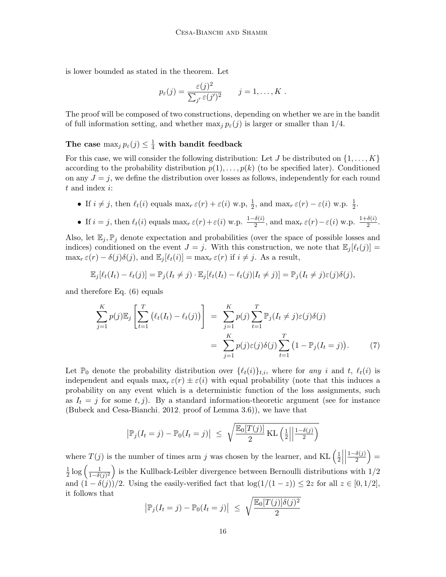is lower bounded as stated in the theorem. Let

$$
p_{\varepsilon}(j) = \frac{\varepsilon(j)^2}{\sum_{j'} \varepsilon(j')^2} \qquad j = 1, \ldots, K.
$$

The proof will be composed of two constructions, depending on whether we are in the bandit of full information setting, and whether  $\max_{i} p_{\varepsilon}(j)$  is larger or smaller than 1/4.

The case  $\max_j p_{\varepsilon}(j) \leq \frac{1}{4}$  with bandit feedback

For this case, we will consider the following distribution: Let J be distributed on  $\{1, \ldots, K\}$ according to the probability distribution  $p(1), \ldots, p(k)$  (to be specified later). Conditioned on any  $J = j$ , we define the distribution over losses as follows, independently for each round t and index i:

- If  $i \neq j$ , then  $\ell_t(i)$  equals  $\max_r \varepsilon(r) + \varepsilon(i)$  w.p,  $\frac{1}{2}$ , and  $\max_r \varepsilon(r) \varepsilon(i)$  w.p.  $\frac{1}{2}$ .
- If  $i = j$ , then  $\ell_t(i)$  equals  $\max_r \varepsilon(r) + \varepsilon(i)$  w.p.  $\frac{1-\delta(i)}{2}$ , and  $\max_r \varepsilon(r) \varepsilon(i)$  w.p.  $\frac{1+\delta(i)}{2}$ .

Also, let  $\mathbb{E}_i$ ,  $\mathbb{P}_i$  denote expectation and probabilities (over the space of possible losses and indices) conditioned on the event  $J = j$ . With this construction, we note that  $\mathbb{E}_j[\ell_t(j)] =$  $\max_r \varepsilon(r) - \delta(j)\delta(j)$ , and  $\mathbb{E}_j[\ell_t(i)] = \max_r \varepsilon(r)$  if  $i \neq j$ . As a result,

$$
\mathbb{E}_j[\ell_t(I_t) - \ell_t(j)] = \mathbb{P}_j(I_t \neq j) \cdot \mathbb{E}_j[\ell_t(I_t) - \ell_t(j)|I_t \neq j)] = \mathbb{P}_j(I_t \neq j)\varepsilon(j)\delta(j),
$$

and therefore Eq. [\(6\)](#page-14-0) equals

$$
\sum_{j=1}^{K} p(j) \mathbb{E}_{j} \left[ \sum_{t=1}^{T} \left( \ell_{t}(I_{t}) - \ell_{t}(j) \right) \right] = \sum_{j=1}^{K} p(j) \sum_{t=1}^{T} \mathbb{P}_{j}(I_{t} \neq j) \varepsilon(j) \delta(j)
$$
\n
$$
= \sum_{j=1}^{K} p(j) \varepsilon(j) \delta(j) \sum_{t=1}^{T} \left( 1 - \mathbb{P}_{j}(I_{t} = j) \right). \tag{7}
$$

Let  $\mathbb{P}_0$  denote the probability distribution over  $\{\ell_t(i)\}_{t,i}$ , where for any i and t,  $\ell_t(i)$  is independent and equals  $\max_r \varepsilon(r) \pm \varepsilon(i)$  with equal probability (note that this induces a probability on any event which is a deterministic function of the loss assignments, such as  $I_t = j$  for some  $t, j$ ). By a standard information-theoretic argument (see for instance [\(Bubeck and Cesa-Bianchi, 2012,](#page-12-12) proof of Lemma 3.6)), we have that

<span id="page-15-0"></span>
$$
\left|\mathbb{P}_{j}(I_{t}=j)-\mathbb{P}_{0}(I_{t}=j)\right| \leq \sqrt{\frac{\mathbb{E}_{0}[T(j)]}{2}\mathrm{KL}\left(\frac{1}{2}\middle|\frac{1-\delta(j)}{2}\right)}
$$

where  $T(j)$  is the number of times arm j was chosen by the learner, and KL  $\left(\frac{1}{2}\right)$  $rac{1}{2}$  $\begin{array}{c} \begin{array}{c} \begin{array}{c} \end{array} \\ \begin{array}{c} \end{array} \end{array} \end{array}$  $1-\delta(j)$  $\frac{\delta(j)}{2}\Big) =$ 1  $\frac{1}{2} \log \left( \frac{1}{1-\delta \left( \frac{1}{\delta \epsilon}\right)} \right)$  $\frac{1}{(1-\delta(j)^2)}$  is the Kullback-Leibler divergence between Bernoulli distributions with  $1/2$ and  $(1 - \delta(j))/2$ . Using the easily-verified fact that  $\log(1/(1-z)) \leq 2z$  for all  $z \in [0, 1/2]$ , it follows that

$$
\left|\mathbb{P}_j(I_t=j)-\mathbb{P}_0(I_t=j)\right| \leq \sqrt{\frac{\mathbb{E}_0[T(j)]\delta(j)^2}{2}}
$$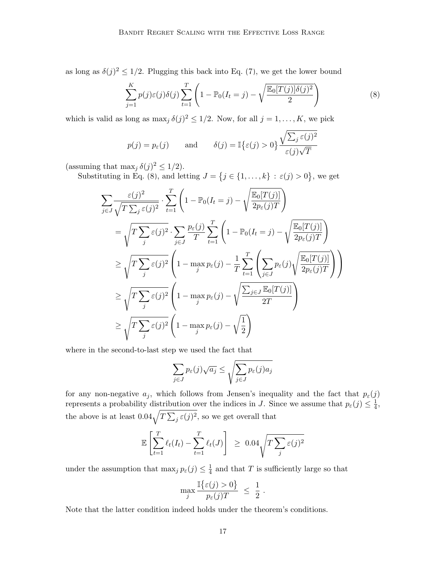as long as  $\delta(j)^2 \leq 1/2$ . Plugging this back into Eq. [\(7\)](#page-15-0), we get the lower bound

<span id="page-16-0"></span>
$$
\sum_{j=1}^{K} p(j)\varepsilon(j)\delta(j)\sum_{t=1}^{T} \left(1 - \mathbb{P}_0(I_t = j) - \sqrt{\frac{\mathbb{E}_0[T(j)]\delta(j)^2}{2}}\right)
$$
(8)

which is valid as long as  $\max_j \delta(j)^2 \leq 1/2$ . Now, for all  $j = 1, ..., K$ , we pick

$$
p(j) = p_{\varepsilon}(j)
$$
 and  $\delta(j) = \mathbb{I}\{\varepsilon(j) > 0\}\frac{\sqrt{\sum_{j} \varepsilon(j)^{2}}}{\varepsilon(j)\sqrt{T}}$ 

(assuming that  $\max_j \delta(j)^2 \leq 1/2$ ).

Substituting in Eq. [\(8\)](#page-16-0), and letting  $J = \{j \in \{1, ..., k\} : \varepsilon(j) > 0\}$ , we get

$$
\sum_{j\in J} \frac{\varepsilon(j)^2}{\sqrt{T \sum_j \varepsilon(j)^2}} \cdot \sum_{t=1}^T \left(1 - \mathbb{P}_0(I_t = j) - \sqrt{\frac{\mathbb{E}_0[T(j)]}{2p_{\varepsilon}(j)T}}\right)
$$
\n
$$
= \sqrt{T \sum_j \varepsilon(j)^2} \cdot \sum_{j\in J} \frac{p_{\varepsilon}(j)}{T} \sum_{t=1}^T \left(1 - \mathbb{P}_0(I_t = j) - \sqrt{\frac{\mathbb{E}_0[T(j)]}{2p_{\varepsilon}(j)T}}\right)
$$
\n
$$
\geq \sqrt{T \sum_j \varepsilon(j)^2} \left(1 - \max_j p_{\varepsilon}(j) - \frac{1}{T} \sum_{t=1}^T \left(\sum_{j\in J} p_{\varepsilon}(j) \sqrt{\frac{\mathbb{E}_0[T(j)]}{2p_{\varepsilon}(j)T}}\right)\right)
$$
\n
$$
\geq \sqrt{T \sum_j \varepsilon(j)^2} \left(1 - \max_j p_{\varepsilon}(j) - \sqrt{\frac{\sum_{j\in J} \mathbb{E}_0[T(j)]}{2T}}\right)
$$
\n
$$
\geq \sqrt{T \sum_j \varepsilon(j)^2} \left(1 - \max_j p_{\varepsilon}(j) - \sqrt{\frac{1}{2}}\right)
$$

where in the second-to-last step we used the fact that

$$
\sum_{j \in J} p_{\varepsilon}(j) \sqrt{a_j} \le \sqrt{\sum_{j \in J} p_{\varepsilon}(j) a_j}
$$

for any non-negative  $a_j$ , which follows from Jensen's inequality and the fact that  $p_{\varepsilon}(j)$ represents a probability distribution over the indices in J. Since we assume that  $p_{\varepsilon}(j) \leq \frac{1}{4}$  $\frac{1}{4}$ , the above is at least  $0.04\sqrt{T\sum_j \varepsilon(j)^2}$ , so we get overall that

$$
\mathbb{E}\left[\sum_{t=1}^T \ell_t(I_t) - \sum_{t=1}^T \ell_t(J)\right] \geq 0.04 \sqrt{T \sum_j \varepsilon(j)^2}
$$

under the assumption that  $\max_j p_{\varepsilon}(j) \leq \frac{1}{4}$  $\frac{1}{4}$  and that T is sufficiently large so that

$$
\max_j \frac{\mathbb{I}\{\varepsilon(j) > 0\}}{p_{\varepsilon}(j)T} \ \leq \ \frac{1}{2} \ .
$$

Note that the latter condition indeed holds under the theorem's conditions.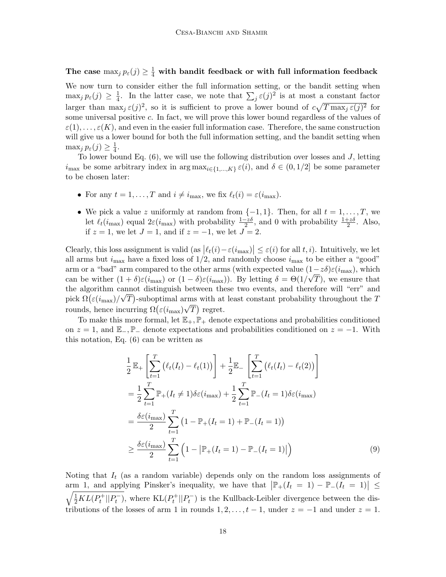The case  $\max_j p_{\varepsilon}(j) \geq \frac{1}{4}$  with bandit feedback or with full information feedback

We now turn to consider either the full information setting, or the bandit setting when  $\max_j p_{\varepsilon}(j) \geq \frac{1}{4}$  $\frac{1}{4}$ . In the latter case, we note that  $\sum_{j} \varepsilon(j)^2$  is at most a constant factor larger than  $\max_j \varepsilon(j)^2$ , so it is sufficient to prove a lower bound of  $c\sqrt{T \max_j \varepsilon(j)^2}$  for some universal positive c. In fact, we will prove this lower bound regardless of the values of  $\varepsilon(1), \ldots, \varepsilon(K)$ , and even in the easier full information case. Therefore, the same construction will give us a lower bound for both the full information setting, and the bandit setting when  $\max_j p_{\varepsilon}(j) \geq \frac{1}{4}$  $\frac{1}{4}$ .

To lower bound Eq.  $(6)$ , we will use the following distribution over losses and J, letting  $i_{\text{max}}$  be some arbitrary index in  $\arg \max_{i \in \{1,\dots,K\}} \varepsilon(i)$ , and  $\delta \in (0,1/2]$  be some parameter to be chosen later:

- For any  $t = 1, ..., T$  and  $i \neq i_{\text{max}}$ , we fix  $\ell_t(i) = \varepsilon(i_{\text{max}})$ .
- We pick a value z uniformly at random from  $\{-1, 1\}$ . Then, for all  $t = 1, \ldots, T$ , we let  $\ell_t(i_{\max})$  equal  $2\varepsilon(i_{\max})$  with probability  $\frac{1-z\delta}{2}$ , and 0 with probability  $\frac{1+z\delta}{2}$ . Also, if  $z = 1$ , we let  $J = 1$ , and if  $z = -1$ , we let  $J = 2$ .

Clearly, this loss assignment is valid  $\left( \text{as } \left| \ell_t(i) - \varepsilon(i_{\text{max}}) \right| \leq \varepsilon(i) \text{ for all } t, i \right)$ . Intuitively, we let all arms but  $i_{\text{max}}$  have a fixed loss of  $1/2$ , and randomly choose  $i_{\text{max}}$  to be either a "good" arm or a "bad" arm compared to the other arms (with expected value  $(1-z\delta)\varepsilon(i_{\max})$ , which can be wither  $(1+\delta)\varepsilon(i_{\max})$  or  $(1-\delta)\varepsilon(i_{\max})$ ). By letting  $\delta = \Theta(1/\sqrt{T})$ , we ensure that the algorithm cannot distinguish between these two events, and therefore will "err" and pick  $\Omega(\varepsilon(i_{\max})/\sqrt{T})$ -suboptimal arms with at least constant probability throughout the T rounds, hence incurring  $\Omega(\varepsilon(i_{\max})\sqrt{T})$  regret.

To make this more formal, let  $\mathbb{E}_+, \mathbb{P}_+$  denote expectations and probabilities conditioned on  $z = 1$ , and  $\mathbb{E}_-, \mathbb{P}_-$  denote expectations and probabilities conditioned on  $z = -1$ . With this notation, Eq. [\(6\)](#page-14-0) can be written as

<span id="page-17-0"></span>
$$
\frac{1}{2} \mathbb{E}_{+} \left[ \sum_{t=1}^{T} \left( \ell_{t}(I_{t}) - \ell_{t}(1) \right) \right] + \frac{1}{2} \mathbb{E}_{-} \left[ \sum_{t=1}^{T} \left( \ell_{t}(I_{t}) - \ell_{t}(2) \right) \right]
$$
\n
$$
= \frac{1}{2} \sum_{t=1}^{T} \mathbb{P}_{+} (I_{t} \neq 1) \delta \varepsilon (i_{\max}) + \frac{1}{2} \sum_{t=1}^{T} \mathbb{P}_{-} (I_{t} = 1) \delta \varepsilon (i_{\max})
$$
\n
$$
= \frac{\delta \varepsilon (i_{\max})}{2} \sum_{t=1}^{T} \left( 1 - \mathbb{P}_{+} (I_{t} = 1) + \mathbb{P}_{-} (I_{t} = 1) \right)
$$
\n
$$
\geq \frac{\delta \varepsilon (i_{\max})}{2} \sum_{t=1}^{T} \left( 1 - \left| \mathbb{P}_{+} (I_{t} = 1) - \mathbb{P}_{-} (I_{t} = 1) \right| \right) \tag{9}
$$

Noting that  $I_t$  (as a random variable) depends only on the random loss assignments of arm 1, and applying Pinsker's inequality, we have that  $|\mathbb{P}_+(I_t = 1) - \mathbb{P}_-(I_t = 1)| \le$  $\sqrt{\frac{1}{2}KL(P_t^+||P_t^-)}$ , where  $KL(P_t^+||P_t^-)$  is the Kullback-Leibler divergence between the distributions of the losses of arm 1 in rounds  $1, 2, \ldots, t-1$ , under  $z = -1$  and under  $z = 1$ .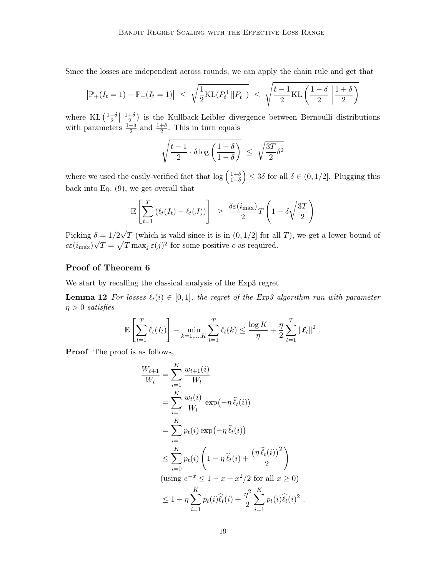Since the losses are independent across rounds, we can apply the chain rule and get that

$$
|\mathbb{P}_{+}(I_t = 1) - \mathbb{P}_{-}(I_t = 1)| \leq \sqrt{\frac{1}{2}KL(P_t^+||P_t^-)} \leq \sqrt{\frac{t-1}{2}KL\left(\frac{1-\delta}{2}\middle\| \frac{1+\delta}{2}\right)}
$$

where KL  $\left(\frac{1-\delta}{2}\right)$  $\frac{-\delta}{2}$  $\Big|\Big|\frac{1+\delta}{2}$  $\frac{+6}{2}$  is the Kullback-Leibler divergence between Bernoulli distributions with parameters  $\frac{1-\delta}{2}$  and  $\frac{1+\delta}{2}$ . This in turn equals

$$
\sqrt{\frac{t-1}{2} \cdot \delta \log \left(\frac{1+\delta}{1-\delta}\right)} \ \leq \ \sqrt{\frac{3T}{2} \delta^2}
$$

where we used the easily-verified fact that  $\log\left(\frac{1+\delta}{1-\delta}\right) \leq 3\delta$  for all  $\delta \in (0, 1/2]$ . Plugging this back into Eq. [\(9\)](#page-17-0), we get overall that

$$
\mathbb{E}\left[\sum_{t=1}^T \left(\ell_t(I_t) - \ell_t(J)\right)\right] \geq \frac{\delta \varepsilon(i_{\max})}{2} T\left(1 - \delta \sqrt{\frac{3T}{2}}\right)
$$

Picking  $\delta = 1/2$ √  $\delta = 1/2\sqrt{T}$  (which is valid since it is in  $(0, 1/2]$  for all T), we get a lower bound of  $c\varepsilon(i_{\text{max}})\sqrt{T} = \sqrt{T \max_j \varepsilon(j)^2}$  for some positive c as required.

# Proof of Theorem [6](#page-9-0)

We start by recalling the classical analysis of the Exp3 regret.

**Lemma 12** For losses  $\ell_t(i) \in [0, 1]$ , the regret of the Exp3 algorithm run with parameter  $\eta > 0$  satisfies

<span id="page-18-0"></span>
$$
\mathbb{E}\left[\sum_{t=1}^T \ell_t(I_t)\right] - \min_{k=1,\dots,K} \sum_{t=1}^T \ell_t(k) \le \frac{\log K}{\eta} + \frac{\eta}{2} \sum_{t=1}^T \|\ell_t\|^2.
$$

Proof The proof is as follows,

$$
\frac{W_{t+1}}{W_t} = \sum_{i=1}^{K} \frac{w_{t+1}(i)}{W_t}
$$
\n
$$
= \sum_{i=1}^{K} \frac{w_t(i)}{W_t} \exp(-\eta \hat{\ell}_t(i))
$$
\n
$$
= \sum_{i=1}^{K} p_t(i) \exp(-\eta \hat{\ell}_t(i))
$$
\n
$$
\leq \sum_{i=0}^{K} p_t(i) \left(1 - \eta \hat{\ell}_t(i) + \frac{(\eta \hat{\ell}_t(i))^2}{2}\right)
$$
\n(using  $e^{-x} \leq 1 - x + x^2/2$  for all  $x \geq 0$ )

\n
$$
\leq 1 - \eta \sum_{i=1}^{K} p_t(i) \hat{\ell}_t(i) + \frac{\eta^2}{2} \sum_{i=1}^{K} p_t(i) \hat{\ell}_t(i)^2.
$$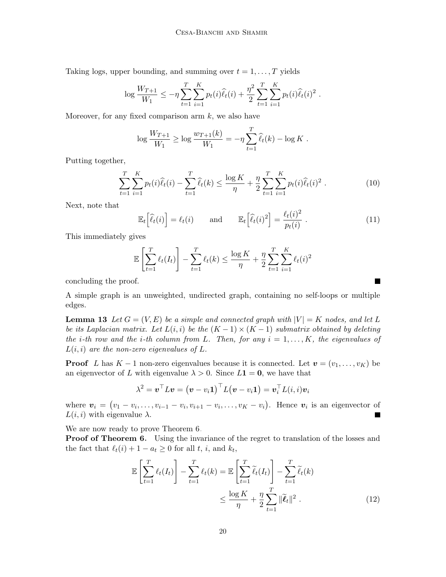Taking logs, upper bounding, and summing over  $t = 1, \ldots, T$  yields

$$
\log \frac{W_{T+1}}{W_1} \leq -\eta \sum_{t=1}^T \sum_{i=1}^K p_t(i) \widehat{\ell}_t(i) + \frac{\eta^2}{2} \sum_{t=1}^T \sum_{i=1}^K p_t(i) \widehat{\ell}_t(i)^2.
$$

Moreover, for any fixed comparison arm  $k$ , we also have

$$
\log \frac{W_{T+1}}{W_1} \ge \log \frac{w_{T+1}(k)}{W_1} = -\eta \sum_{t=1}^T \widehat{\ell}_t(k) - \log K.
$$

Putting together,

$$
\sum_{t=1}^{T} \sum_{i=1}^{K} p_t(i) \widehat{\ell}_t(i) - \sum_{t=1}^{T} \widehat{\ell}_t(k) \le \frac{\log K}{\eta} + \frac{\eta}{2} \sum_{t=1}^{T} \sum_{i=1}^{K} p_t(i) \widehat{\ell}_t(i)^2.
$$
 (10)

Next, note that

<span id="page-19-2"></span><span id="page-19-1"></span>
$$
\mathbb{E}_t\left[\widehat{\ell}_t(i)\right] = \ell_t(i) \quad \text{and} \quad \mathbb{E}_t\left[\widehat{\ell}_t(i)^2\right] = \frac{\ell_t(i)^2}{p_t(i)}\,. \tag{11}
$$

This immediately gives

$$
\mathbb{E}\left[\sum_{t=1}^{T} \ell_t(I_t)\right] - \sum_{t=1}^{T} \ell_t(k) \le \frac{\log K}{\eta} + \frac{\eta}{2} \sum_{t=1}^{T} \sum_{i=1}^{K} \ell_t(i)^2
$$

concluding the proof.

<span id="page-19-0"></span>A simple graph is an unweighted, undirected graph, containing no self-loops or multiple edges.

**Lemma 13** Let  $G = (V, E)$  be a simple and connected graph with  $|V| = K$  nodes, and let L be its Laplacian matrix. Let  $L(i,i)$  be the  $(K-1) \times (K-1)$  submatrix obtained by deleting the *i*-th row and the *i*-th column from L. Then, for any  $i = 1, ..., K$ , the eigenvalues of  $L(i, i)$  are the non-zero eigenvalues of L.

**Proof** L has  $K-1$  non-zero eigenvalues because it is connected. Let  $\mathbf{v} = (v_1, \ldots, v_K)$  be an eigenvector of L with eigenvalue  $\lambda > 0$ . Since  $L_1 = 0$ , we have that

$$
\lambda^2 = \boldsymbol{v}^\top L \boldsymbol{v} = \big(\boldsymbol{v} - v_i \boldsymbol{1} \big)^\top L \big(\boldsymbol{v} - v_i \boldsymbol{1} \big) = \boldsymbol{v}_i^\top L(i,i) \boldsymbol{v}_i
$$

where  $v_i = (v_1 - v_i, \ldots, v_{i-1} - v_i, v_{i+1} - v_i, \ldots, v_K - v_i)$ . Hence  $v_i$  is an eigenvector of  $L(i, i)$  with eigenvalue  $\lambda$ .  $\blacksquare$ 

We are now ready to prove Theorem [6.](#page-9-0)

**Proof of Theorem [6.](#page-9-0)** Using the invariance of the regret to translation of the losses and the fact that  $\ell_t(i) + 1 - a_t \geq 0$  for all t, i, and  $k_t$ ,

$$
\mathbb{E}\left[\sum_{t=1}^{T} \ell_t(I_t)\right] - \sum_{t=1}^{T} \ell_t(k) = \mathbb{E}\left[\sum_{t=1}^{T} \widetilde{\ell}_t(I_t)\right] - \sum_{t=1}^{T} \widetilde{\ell}_t(k)
$$

$$
\leq \frac{\log K}{\eta} + \frac{\eta}{2} \sum_{t=1}^{T} \|\widetilde{\ell}_t\|^2.
$$
(12)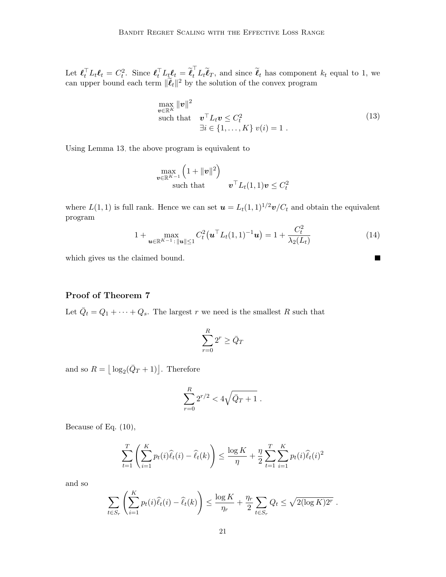Let  $\boldsymbol{\ell}_t^{\top} L_t \boldsymbol{\ell}_t = C_t^2$ . Since  $\boldsymbol{\ell}_t^{\top} L_t \boldsymbol{\ell}_t = \widetilde{\boldsymbol{\ell}}_t^{\top} L_t \widetilde{\boldsymbol{\ell}}_T$ , and since  $\widetilde{\boldsymbol{\ell}}_t$  has component  $k_t$  equal to 1, we can upper bound each term  $\|\tilde{\ell}_t\|^2$  by the solution of the convex program

$$
\begin{aligned}\n\max_{\mathbf{v} \in \mathbb{R}^K} & \|\mathbf{v}\|^2 \\
\text{such that} \quad & \mathbf{v}^\top L_t \mathbf{v} \le C_t^2 \\
& \exists i \in \{1, \dots, K\} \ v(i) = 1 \ .\n\end{aligned} \tag{13}
$$

Using Lemma [13,](#page-19-0) the above program is equivalent to

$$
\max_{\boldsymbol{v}\in\mathbb{R}^{K-1}}\left(1+\|\boldsymbol{v}\|^{2}\right) \quad \text{such that} \quad \boldsymbol{v}^{\top}L_{t}(1,1)\boldsymbol{v}\leq C_{t}^{2}
$$

where  $L(1, 1)$  is full rank. Hence we can set  $\mathbf{u} = L_t(1, 1)^{1/2}\mathbf{v}/C_t$  and obtain the equivalent program

$$
1 + \max_{\mathbf{u} \in \mathbb{R}^{K-1} : \|\mathbf{u}\| \le 1} C_t^2(\mathbf{u}^\top L_t(1,1)^{-1}\mathbf{u}) = 1 + \frac{C_t^2}{\lambda_2(L_t)}
$$
(14)

<span id="page-20-0"></span> $\blacksquare$ 

which gives us the claimed bound.

# Proof of Theorem [7](#page-9-2)

Let  $\overline{Q}_t = Q_1 + \cdots + Q_s$ . The largest r we need is the smallest R such that

$$
\sum_{r=0}^{R} 2^r \ge \bar{Q}_T
$$

and so  $R = \lfloor \log_2(\bar{Q}_T + 1) \rfloor$ . Therefore

$$
\sum_{r=0}^{R} 2^{r/2} < 4\sqrt{\bar{Q}_T + 1} \; .
$$

Because of Eq. [\(10\)](#page-19-1),

$$
\sum_{t=1}^T \left( \sum_{i=1}^K p_t(i) \widehat{\ell}_t(i) - \widehat{\ell}_t(k) \right) \le \frac{\log K}{\eta} + \frac{\eta}{2} \sum_{t=1}^T \sum_{i=1}^K p_t(i) \widehat{\ell}_t(i)^2
$$

and so

$$
\sum_{t \in S_r} \left( \sum_{i=1}^K p_t(i) \widehat{\ell}_t(i) - \widehat{\ell}_t(k) \right) \le \frac{\log K}{\eta_r} + \frac{\eta_r}{2} \sum_{t \in S_r} Q_t \le \sqrt{2(\log K) 2^r}.
$$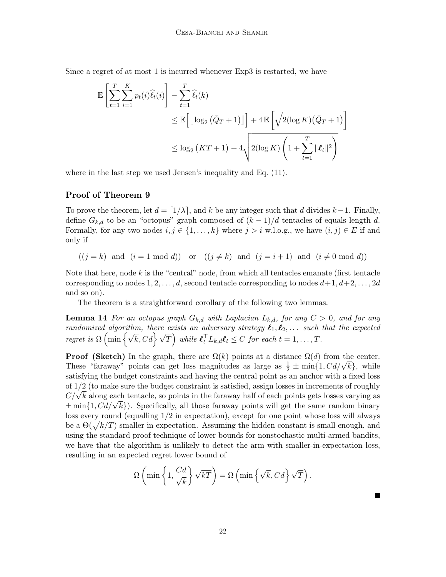Since a regret of at most 1 is incurred whenever Exp3 is restarted, we have

$$
\mathbb{E}\left[\sum_{t=1}^{T}\sum_{i=1}^{K}p_{t}(i)\widehat{\ell}_{t}(i)\right] - \sum_{t=1}^{T}\widehat{\ell}_{t}(k)
$$
\n
$$
\leq \mathbb{E}\left[\left\lfloor \log_{2}\left(\bar{Q}_{T}+1\right)\right\rfloor\right] + 4\mathbb{E}\left[\sqrt{2(\log K)\left(\bar{Q}_{T}+1\right)}\right]
$$
\n
$$
\leq \log_{2}\left(KT+1\right) + 4\sqrt{2(\log K)\left(1 + \sum_{t=1}^{T}\|\ell_{t}\|^{2}\right)}
$$

where in the last step we used Jensen's inequality and Eq. [\(11\)](#page-19-2).

# Proof of Theorem [9](#page-10-2)

To prove the theorem, let  $d = \lfloor 1/\lambda \rfloor$ , and k be any integer such that d divides k – 1. Finally, define  $G_{k,d}$  to be an "octopus" graph composed of  $(k-1)/d$  tentacles of equals length d. Formally, for any two nodes  $i, j \in \{1, ..., k\}$  where  $j > i$  w.l.o.g., we have  $(i, j) \in E$  if and only if

 $((j = k)$  and  $(i = 1 \mod d))$  or  $((j \neq k)$  and  $(j = i + 1)$  and  $(i \neq 0 \mod d))$ 

Note that here, node  $k$  is the "central" node, from which all tentacles emanate (first tentacle corresponding to nodes  $1, 2, \ldots, d$ , second tentacle corresponding to nodes  $d+1, d+2, \ldots, 2d$ and so on).

The theorem is a straightforward corollary of the following two lemmas.

**Lemma 14** For an octopus graph  $G_{k,d}$  with Laplacian  $L_{k,d}$ , for any  $C > 0$ , and for any randomized algorithm, there exists an adversary strategy  $\ell_1, \ell_2, \ldots$  such that the expected regret is  $\Omega\left(\min\left\{\sqrt{k}, Cd\right\}\sqrt{T}\right)$  while  $\ell_t^{\top}L_{k,d}\ell_t \leq C$  for each  $t = 1, \ldots, T$ .

**Proof (Sketch)** In the graph, there are  $\Omega(k)$  points at a distance  $\Omega(d)$  from the center. **Proof (Sketch)** In the graph, there are  $\Omega(k)$  points at a distance  $\Omega(d)$  from the center.<br>These "faraway" points can get loss magnitudes as large as  $\frac{1}{2} \pm \min\{1, Cd/\sqrt{k}\}\,$ , while satisfying the budget constraints and having the central point as an anchor with a fixed loss of 1/2 (to make sure the budget constraint is satisfied, assign losses in increments of roughly or 1/2 (to make sure the budget constraint is satisfied, assign losses in increments of roughly  $C/\sqrt{k}$  along each tentacle, so points in the faraway half of each points gets losses varying as  $\pm \min\{1, Cd/\sqrt{k}\}\$ . Specifically, all those faraway nair or each points gets losses varying as  $\pm \min\{1, Cd/\sqrt{k}\}\$ . Specifically, all those faraway points will get the same random binary loss every round (equalling 1/2 in expectation), except for one point whose loss will always be a  $\Theta(\sqrt{k/T})$  smaller in expectation. Assuming the hidden constant is small enough, and using the standard proof technique of lower bounds for nonstochastic multi-armed bandits, we have that the algorithm is unlikely to detect the arm with smaller-in-expectation loss, resulting in an expected regret lower bound of

$$
\Omega\left(\min\left\{1,\frac{Cd}{\sqrt{k}}\right\}\sqrt{kT}\right) = \Omega\left(\min\left\{\sqrt{k},Cd\right\}\sqrt{T}\right).
$$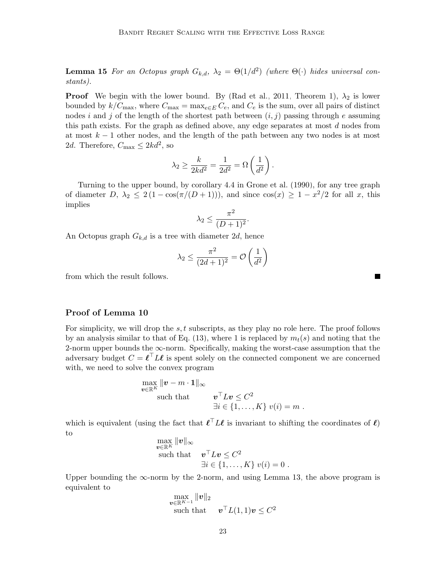**Lemma 15** For an Octopus graph  $G_{k,d}$ ,  $\lambda_2 = \Theta(1/d^2)$  (where  $\Theta(\cdot)$  hides universal constants).

**Proof** We begin with the lower bound. By [\(Rad et al., 2011,](#page-13-7) Theorem 1),  $\lambda_2$  is lower bounded by  $k/C_{\text{max}}$ , where  $C_{\text{max}} = \max_{e \in E} C_e$ , and  $C_e$  is the sum, over all pairs of distinct nodes i and j of the length of the shortest path between  $(i, j)$  passing through e assuming this path exists. For the graph as defined above, any edge separates at most  $d$  nodes from at most  $k-1$  other nodes, and the length of the path between any two nodes is at most 2d. Therefore,  $C_{\text{max}} \leq 2kd^2$ , so

$$
\lambda_2 \ge \frac{k}{2kd^2} = \frac{1}{2d^2} = \Omega\left(\frac{1}{d^2}\right).
$$

Turning to the upper bound, by corollary 4.4 in [Grone et al.](#page-12-14) [\(1990\)](#page-12-14), for any tree graph of diameter  $D, \lambda_2 \leq 2(1 - \cos(\pi/(D+1))),$  and since  $\cos(x) \geq 1 - x^2/2$  for all x, this implies

$$
\lambda_2 \le \frac{\pi^2}{(D+1)^2}.
$$

An Octopus graph  $G_{k,d}$  is a tree with diameter 2d, hence

$$
\lambda_2 \le \frac{\pi^2}{(2d+1)^2} = \mathcal{O}\left(\frac{1}{d^2}\right)
$$

from which the result follows.

# Proof of Lemma [10](#page-11-0)

For simplicity, we will drop the  $s, t$  subscripts, as they play no role here. The proof follows by an analysis similar to that of Eq. [\(13\)](#page-20-0), where 1 is replaced by  $m_t(s)$  and noting that the 2-norm upper bounds the  $\infty$ -norm. Specifically, making the worst-case assumption that the adversary budget  $C = \ell^\top L \ell$  is spent solely on the connected component we are concerned with, we need to solve the convex program

$$
\max_{\mathbf{v}\in\mathbb{R}^K} \|\mathbf{v} - m \cdot \mathbf{1}\|_{\infty}
$$
\nsuch that\n
$$
\mathbf{v}^\top L \mathbf{v} \leq C^2
$$
\n
$$
\exists i \in \{1, \dots, K\} \ v(i) = m.
$$

which is equivalent (using the fact that  $\ell^\top L \ell$  is invariant to shifting the coordinates of  $\ell$ ) to kvk∞

$$
\begin{array}{ll}\n\max_{\mathbf{v}\in\mathbb{R}^K} \|\mathbf{v}\|_{\infty} \\
\text{such that} & \mathbf{v}^\top L \mathbf{v} \leq C^2 \\
\exists i \in \{1,\ldots,K\} \ v(i) = 0 \ .\n\end{array}
$$

Upper bounding the  $\infty$ -norm by the 2-norm, and using Lemma [13,](#page-19-0) the above program is equivalent to

$$
\max_{\boldsymbol{v}\in\mathbb{R}^{K-1}} \|\boldsymbol{v}\|_2
$$
\nsuch that 
$$
\boldsymbol{v}^\top L(1,1)\boldsymbol{v}\leq C^2
$$